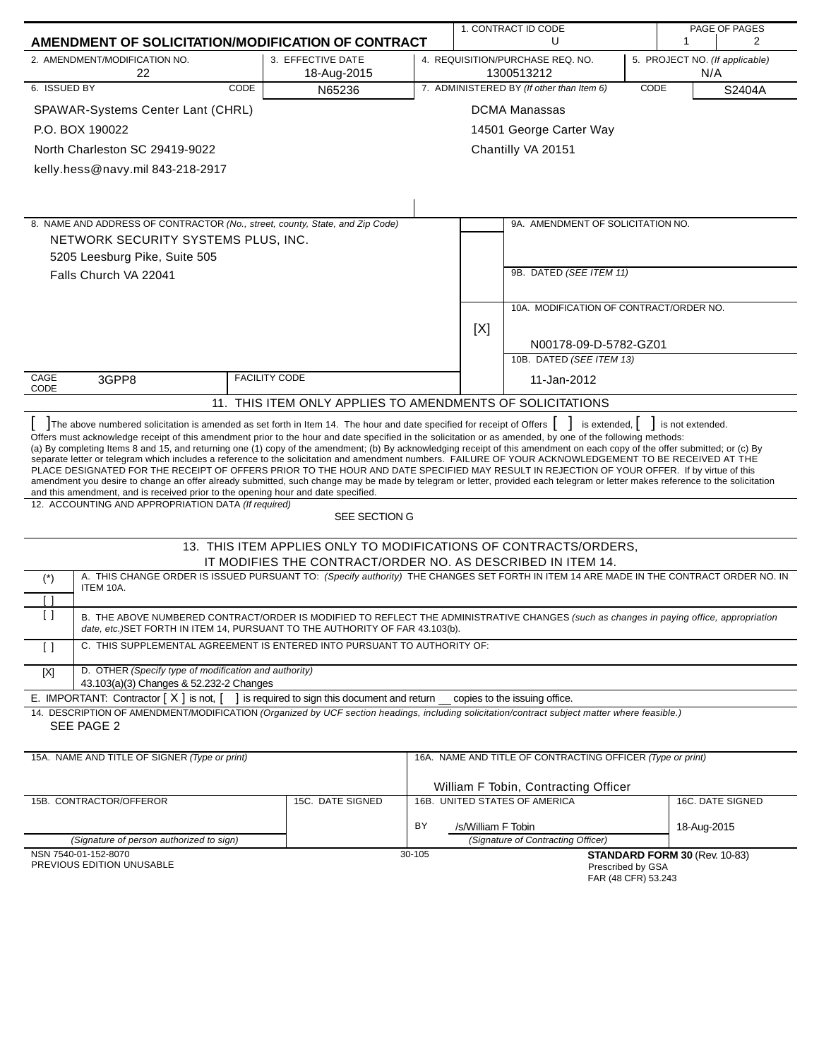|                                                                                                                                                                                                                                                                                                                                                                                                                                                                                                                                                                                                                                                                                                                                                                                                                                                                                                                                                                                                                                                                                                  |                                                                                                                                                             | 1. CONTRACT ID CODE<br>PAGE OF PAGES |                                                                                                                                 |        |                    |                                                                       |      |                               |                                |
|--------------------------------------------------------------------------------------------------------------------------------------------------------------------------------------------------------------------------------------------------------------------------------------------------------------------------------------------------------------------------------------------------------------------------------------------------------------------------------------------------------------------------------------------------------------------------------------------------------------------------------------------------------------------------------------------------------------------------------------------------------------------------------------------------------------------------------------------------------------------------------------------------------------------------------------------------------------------------------------------------------------------------------------------------------------------------------------------------|-------------------------------------------------------------------------------------------------------------------------------------------------------------|--------------------------------------|---------------------------------------------------------------------------------------------------------------------------------|--------|--------------------|-----------------------------------------------------------------------|------|-------------------------------|--------------------------------|
|                                                                                                                                                                                                                                                                                                                                                                                                                                                                                                                                                                                                                                                                                                                                                                                                                                                                                                                                                                                                                                                                                                  | AMENDMENT OF SOLICITATION/MODIFICATION OF CONTRACT                                                                                                          |                                      |                                                                                                                                 |        |                    | U                                                                     |      | 1                             | 2                              |
|                                                                                                                                                                                                                                                                                                                                                                                                                                                                                                                                                                                                                                                                                                                                                                                                                                                                                                                                                                                                                                                                                                  | 2. AMENDMENT/MODIFICATION NO.<br>22                                                                                                                         |                                      | 3. EFFECTIVE DATE<br>18-Aug-2015                                                                                                |        |                    | 4. REQUISITION/PURCHASE REQ. NO.<br>1300513212                        |      | N/A                           | 5. PROJECT NO. (If applicable) |
| 6. ISSUED BY                                                                                                                                                                                                                                                                                                                                                                                                                                                                                                                                                                                                                                                                                                                                                                                                                                                                                                                                                                                                                                                                                     |                                                                                                                                                             | CODE                                 | N65236                                                                                                                          |        |                    | 7. ADMINISTERED BY (If other than Item 6)                             | CODE |                               | S2404A                         |
|                                                                                                                                                                                                                                                                                                                                                                                                                                                                                                                                                                                                                                                                                                                                                                                                                                                                                                                                                                                                                                                                                                  | SPAWAR-Systems Center Lant (CHRL)                                                                                                                           |                                      |                                                                                                                                 |        |                    | <b>DCMA Manassas</b>                                                  |      |                               |                                |
|                                                                                                                                                                                                                                                                                                                                                                                                                                                                                                                                                                                                                                                                                                                                                                                                                                                                                                                                                                                                                                                                                                  | P.O. BOX 190022                                                                                                                                             |                                      |                                                                                                                                 |        |                    | 14501 George Carter Way                                               |      |                               |                                |
|                                                                                                                                                                                                                                                                                                                                                                                                                                                                                                                                                                                                                                                                                                                                                                                                                                                                                                                                                                                                                                                                                                  | North Charleston SC 29419-9022                                                                                                                              |                                      |                                                                                                                                 |        |                    | Chantilly VA 20151                                                    |      |                               |                                |
|                                                                                                                                                                                                                                                                                                                                                                                                                                                                                                                                                                                                                                                                                                                                                                                                                                                                                                                                                                                                                                                                                                  | kelly.hess@navy.mil 843-218-2917                                                                                                                            |                                      |                                                                                                                                 |        |                    |                                                                       |      |                               |                                |
|                                                                                                                                                                                                                                                                                                                                                                                                                                                                                                                                                                                                                                                                                                                                                                                                                                                                                                                                                                                                                                                                                                  |                                                                                                                                                             |                                      |                                                                                                                                 |        |                    |                                                                       |      |                               |                                |
|                                                                                                                                                                                                                                                                                                                                                                                                                                                                                                                                                                                                                                                                                                                                                                                                                                                                                                                                                                                                                                                                                                  |                                                                                                                                                             |                                      |                                                                                                                                 |        |                    |                                                                       |      |                               |                                |
|                                                                                                                                                                                                                                                                                                                                                                                                                                                                                                                                                                                                                                                                                                                                                                                                                                                                                                                                                                                                                                                                                                  | 8. NAME AND ADDRESS OF CONTRACTOR (No., street, county, State, and Zip Code)                                                                                |                                      |                                                                                                                                 |        |                    | 9A. AMENDMENT OF SOLICITATION NO.                                     |      |                               |                                |
|                                                                                                                                                                                                                                                                                                                                                                                                                                                                                                                                                                                                                                                                                                                                                                                                                                                                                                                                                                                                                                                                                                  | NETWORK SECURITY SYSTEMS PLUS, INC.                                                                                                                         |                                      |                                                                                                                                 |        |                    |                                                                       |      |                               |                                |
|                                                                                                                                                                                                                                                                                                                                                                                                                                                                                                                                                                                                                                                                                                                                                                                                                                                                                                                                                                                                                                                                                                  | 5205 Leesburg Pike, Suite 505                                                                                                                               |                                      |                                                                                                                                 |        |                    |                                                                       |      |                               |                                |
|                                                                                                                                                                                                                                                                                                                                                                                                                                                                                                                                                                                                                                                                                                                                                                                                                                                                                                                                                                                                                                                                                                  | Falls Church VA 22041                                                                                                                                       |                                      |                                                                                                                                 |        |                    | 9B. DATED (SEE ITEM 11)                                               |      |                               |                                |
|                                                                                                                                                                                                                                                                                                                                                                                                                                                                                                                                                                                                                                                                                                                                                                                                                                                                                                                                                                                                                                                                                                  |                                                                                                                                                             |                                      |                                                                                                                                 |        |                    |                                                                       |      |                               |                                |
|                                                                                                                                                                                                                                                                                                                                                                                                                                                                                                                                                                                                                                                                                                                                                                                                                                                                                                                                                                                                                                                                                                  |                                                                                                                                                             |                                      |                                                                                                                                 |        |                    | 10A. MODIFICATION OF CONTRACT/ORDER NO.                               |      |                               |                                |
|                                                                                                                                                                                                                                                                                                                                                                                                                                                                                                                                                                                                                                                                                                                                                                                                                                                                                                                                                                                                                                                                                                  |                                                                                                                                                             |                                      |                                                                                                                                 |        | [X]                |                                                                       |      |                               |                                |
|                                                                                                                                                                                                                                                                                                                                                                                                                                                                                                                                                                                                                                                                                                                                                                                                                                                                                                                                                                                                                                                                                                  |                                                                                                                                                             |                                      |                                                                                                                                 |        |                    | N00178-09-D-5782-GZ01<br>10B. DATED (SEE ITEM 13)                     |      |                               |                                |
| CAGE                                                                                                                                                                                                                                                                                                                                                                                                                                                                                                                                                                                                                                                                                                                                                                                                                                                                                                                                                                                                                                                                                             |                                                                                                                                                             |                                      |                                                                                                                                 |        |                    |                                                                       |      |                               |                                |
| CODE                                                                                                                                                                                                                                                                                                                                                                                                                                                                                                                                                                                                                                                                                                                                                                                                                                                                                                                                                                                                                                                                                             | <b>FACILITY CODE</b><br>3GPP8                                                                                                                               |                                      |                                                                                                                                 |        |                    | 11-Jan-2012                                                           |      |                               |                                |
| 11. THIS ITEM ONLY APPLIES TO AMENDMENTS OF SOLICITATIONS                                                                                                                                                                                                                                                                                                                                                                                                                                                                                                                                                                                                                                                                                                                                                                                                                                                                                                                                                                                                                                        |                                                                                                                                                             |                                      |                                                                                                                                 |        |                    |                                                                       |      |                               |                                |
| The above numbered solicitation is amended as set forth in Item 14. The hour and date specified for receipt of Offers<br>is extended, $\vert$<br>is not extended.<br>Offers must acknowledge receipt of this amendment prior to the hour and date specified in the solicitation or as amended, by one of the following methods:<br>(a) By completing Items 8 and 15, and returning one (1) copy of the amendment; (b) By acknowledging receipt of this amendment on each copy of the offer submitted; or (c) By<br>separate letter or telegram which includes a reference to the solicitation and amendment numbers. FAILURE OF YOUR ACKNOWLEDGEMENT TO BE RECEIVED AT THE<br>PLACE DESIGNATED FOR THE RECEIPT OF OFFERS PRIOR TO THE HOUR AND DATE SPECIFIED MAY RESULT IN REJECTION OF YOUR OFFER. If by virtue of this<br>amendment you desire to change an offer already submitted, such change may be made by telegram or letter, provided each telegram or letter makes reference to the solicitation<br>and this amendment, and is received prior to the opening hour and date specified. |                                                                                                                                                             |                                      |                                                                                                                                 |        |                    |                                                                       |      |                               |                                |
|                                                                                                                                                                                                                                                                                                                                                                                                                                                                                                                                                                                                                                                                                                                                                                                                                                                                                                                                                                                                                                                                                                  | 12. ACCOUNTING AND APPROPRIATION DATA (If required)                                                                                                         |                                      | SEE SECTION G                                                                                                                   |        |                    |                                                                       |      |                               |                                |
|                                                                                                                                                                                                                                                                                                                                                                                                                                                                                                                                                                                                                                                                                                                                                                                                                                                                                                                                                                                                                                                                                                  |                                                                                                                                                             |                                      | 13. THIS ITEM APPLIES ONLY TO MODIFICATIONS OF CONTRACTS/ORDERS,<br>IT MODIFIES THE CONTRACT/ORDER NO. AS DESCRIBED IN ITEM 14. |        |                    |                                                                       |      |                               |                                |
| $(\dot{\phantom{a}})$                                                                                                                                                                                                                                                                                                                                                                                                                                                                                                                                                                                                                                                                                                                                                                                                                                                                                                                                                                                                                                                                            | A. THIS CHANGE ORDER IS ISSUED PURSUANT TO: (Specify authority) THE CHANGES SET FORTH IN ITEM 14 ARE MADE IN THE CONTRACT ORDER NO. IN                      |                                      |                                                                                                                                 |        |                    |                                                                       |      |                               |                                |
|                                                                                                                                                                                                                                                                                                                                                                                                                                                                                                                                                                                                                                                                                                                                                                                                                                                                                                                                                                                                                                                                                                  | ITEM 10A.                                                                                                                                                   |                                      |                                                                                                                                 |        |                    |                                                                       |      |                               |                                |
| [ ]<br>$\left[ \ \right]$                                                                                                                                                                                                                                                                                                                                                                                                                                                                                                                                                                                                                                                                                                                                                                                                                                                                                                                                                                                                                                                                        | B. THE ABOVE NUMBERED CONTRACT/ORDER IS MODIFIED TO REFLECT THE ADMINISTRATIVE CHANGES (such as changes in paying office, appropriation                     |                                      |                                                                                                                                 |        |                    |                                                                       |      |                               |                                |
|                                                                                                                                                                                                                                                                                                                                                                                                                                                                                                                                                                                                                                                                                                                                                                                                                                                                                                                                                                                                                                                                                                  | date, etc.)SET FORTH IN ITEM 14, PURSUANT TO THE AUTHORITY OF FAR 43.103(b).                                                                                |                                      |                                                                                                                                 |        |                    |                                                                       |      |                               |                                |
| $\left[ \ \right]$                                                                                                                                                                                                                                                                                                                                                                                                                                                                                                                                                                                                                                                                                                                                                                                                                                                                                                                                                                                                                                                                               | C. THIS SUPPLEMENTAL AGREEMENT IS ENTERED INTO PURSUANT TO AUTHORITY OF:                                                                                    |                                      |                                                                                                                                 |        |                    |                                                                       |      |                               |                                |
| $[{\sf X}]$                                                                                                                                                                                                                                                                                                                                                                                                                                                                                                                                                                                                                                                                                                                                                                                                                                                                                                                                                                                                                                                                                      | D. OTHER (Specify type of modification and authority)<br>43.103(a)(3) Changes & 52.232-2 Changes                                                            |                                      |                                                                                                                                 |        |                    |                                                                       |      |                               |                                |
|                                                                                                                                                                                                                                                                                                                                                                                                                                                                                                                                                                                                                                                                                                                                                                                                                                                                                                                                                                                                                                                                                                  | E. IMPORTANT: Contractor $[X]$ is not, $[$                                                                                                                  |                                      | ] is required to sign this document and return                                                                                  |        |                    | copies to the issuing office.                                         |      |                               |                                |
|                                                                                                                                                                                                                                                                                                                                                                                                                                                                                                                                                                                                                                                                                                                                                                                                                                                                                                                                                                                                                                                                                                  | 14. DESCRIPTION OF AMENDMENT/MODIFICATION (Organized by UCF section headings, including solicitation/contract subject matter where feasible.)<br>SEE PAGE 2 |                                      |                                                                                                                                 |        |                    |                                                                       |      |                               |                                |
|                                                                                                                                                                                                                                                                                                                                                                                                                                                                                                                                                                                                                                                                                                                                                                                                                                                                                                                                                                                                                                                                                                  | 15A. NAME AND TITLE OF SIGNER (Type or print)                                                                                                               |                                      |                                                                                                                                 |        |                    | 16A. NAME AND TITLE OF CONTRACTING OFFICER (Type or print)            |      |                               |                                |
|                                                                                                                                                                                                                                                                                                                                                                                                                                                                                                                                                                                                                                                                                                                                                                                                                                                                                                                                                                                                                                                                                                  |                                                                                                                                                             |                                      |                                                                                                                                 |        |                    |                                                                       |      |                               |                                |
|                                                                                                                                                                                                                                                                                                                                                                                                                                                                                                                                                                                                                                                                                                                                                                                                                                                                                                                                                                                                                                                                                                  | 15B. CONTRACTOR/OFFEROR                                                                                                                                     |                                      | 15C. DATE SIGNED                                                                                                                |        |                    | William F Tobin, Contracting Officer<br>16B. UNITED STATES OF AMERICA |      |                               | 16C. DATE SIGNED               |
|                                                                                                                                                                                                                                                                                                                                                                                                                                                                                                                                                                                                                                                                                                                                                                                                                                                                                                                                                                                                                                                                                                  |                                                                                                                                                             |                                      |                                                                                                                                 |        |                    |                                                                       |      |                               |                                |
|                                                                                                                                                                                                                                                                                                                                                                                                                                                                                                                                                                                                                                                                                                                                                                                                                                                                                                                                                                                                                                                                                                  |                                                                                                                                                             |                                      |                                                                                                                                 | BY     | /s/William F Tobin |                                                                       |      | 18-Aug-2015                   |                                |
|                                                                                                                                                                                                                                                                                                                                                                                                                                                                                                                                                                                                                                                                                                                                                                                                                                                                                                                                                                                                                                                                                                  | (Signature of person authorized to sign)<br>NSN 7540-01-152-8070                                                                                            |                                      |                                                                                                                                 | 30-105 |                    | (Signature of Contracting Officer)                                    |      | STANDARD FORM 30 (Rev. 10-83) |                                |
|                                                                                                                                                                                                                                                                                                                                                                                                                                                                                                                                                                                                                                                                                                                                                                                                                                                                                                                                                                                                                                                                                                  | PREVIOUS EDITION UNUSABLE                                                                                                                                   |                                      |                                                                                                                                 |        |                    | Prescribed by GSA<br>FAR (48 CFR) 53.243                              |      |                               |                                |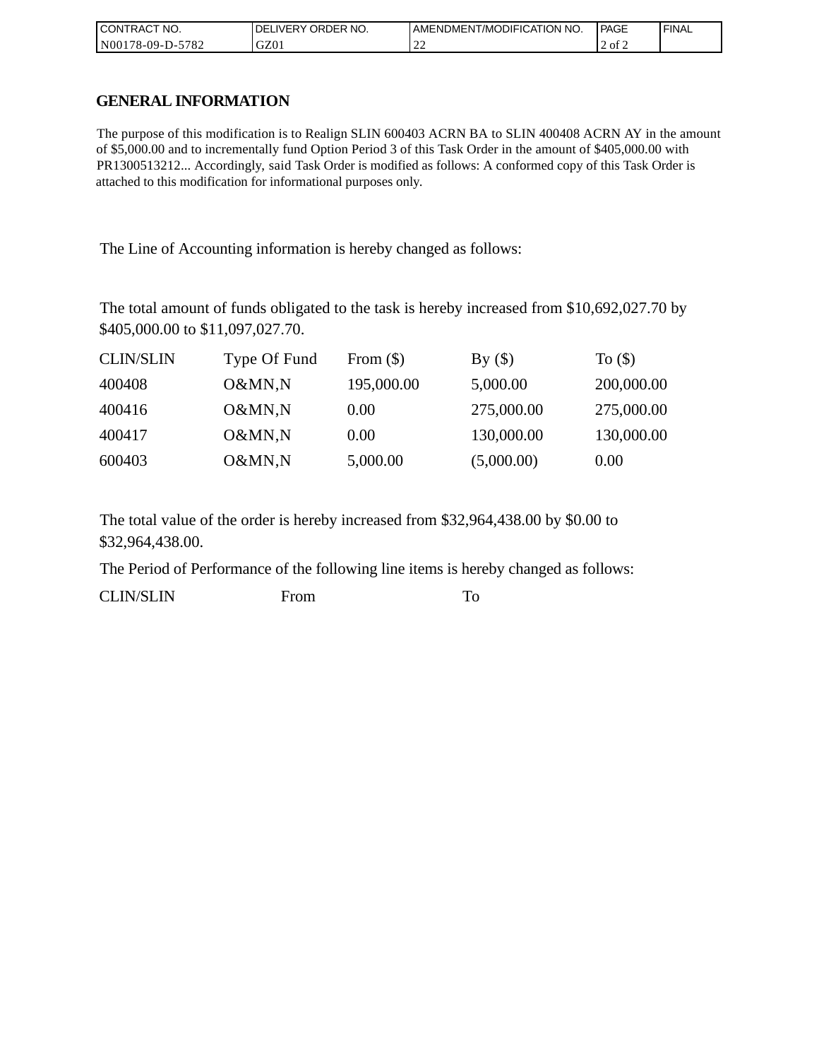| CONTRACT<br>°CT NO.                       | NO.<br>' ORDER<br><b>DELIVERY</b> | AMENDMENT/MODIFICATION NO. | <b>PAGE</b> | ' FINAL |
|-------------------------------------------|-----------------------------------|----------------------------|-------------|---------|
| N001<br>$-5782$<br>*78-09-D- <sub>~</sub> | GZ01                              | ∸                          | 2 of 2      |         |

# **GENERAL INFORMATION**

The purpose of this modification is to Realign SLIN 600403 ACRN BA to SLIN 400408 ACRN AY in the amount of \$5,000.00 and to incrementally fund Option Period 3 of this Task Order in the amount of \$405,000.00 with PR1300513212... Accordingly, said Task Order is modified as follows: A conformed copy of this Task Order is attached to this modification for informational purposes only.

The Line of Accounting information is hereby changed as follows:

The total amount of funds obligated to the task is hereby increased from \$10,692,027.70 by \$405,000.00 to \$11,097,027.70.

| <b>CLIN/SLIN</b> | Type Of Fund | From $(\$)$ | By()       | To $($ math) |
|------------------|--------------|-------------|------------|--------------|
| 400408           | O&MN,N       | 195,000.00  | 5,000.00   | 200,000.00   |
| 400416           | O&MN,N       | 0.00        | 275,000.00 | 275,000.00   |
| 400417           | O&MN,N       | 0.00        | 130,000.00 | 130,000.00   |
| 600403           | O&MN,N       | 5,000.00    | (5,000.00) | 0.00         |

The total value of the order is hereby increased from \$32,964,438.00 by \$0.00 to \$32,964,438.00.

The Period of Performance of the following line items is hereby changed as follows:

CLIN/SLIN From To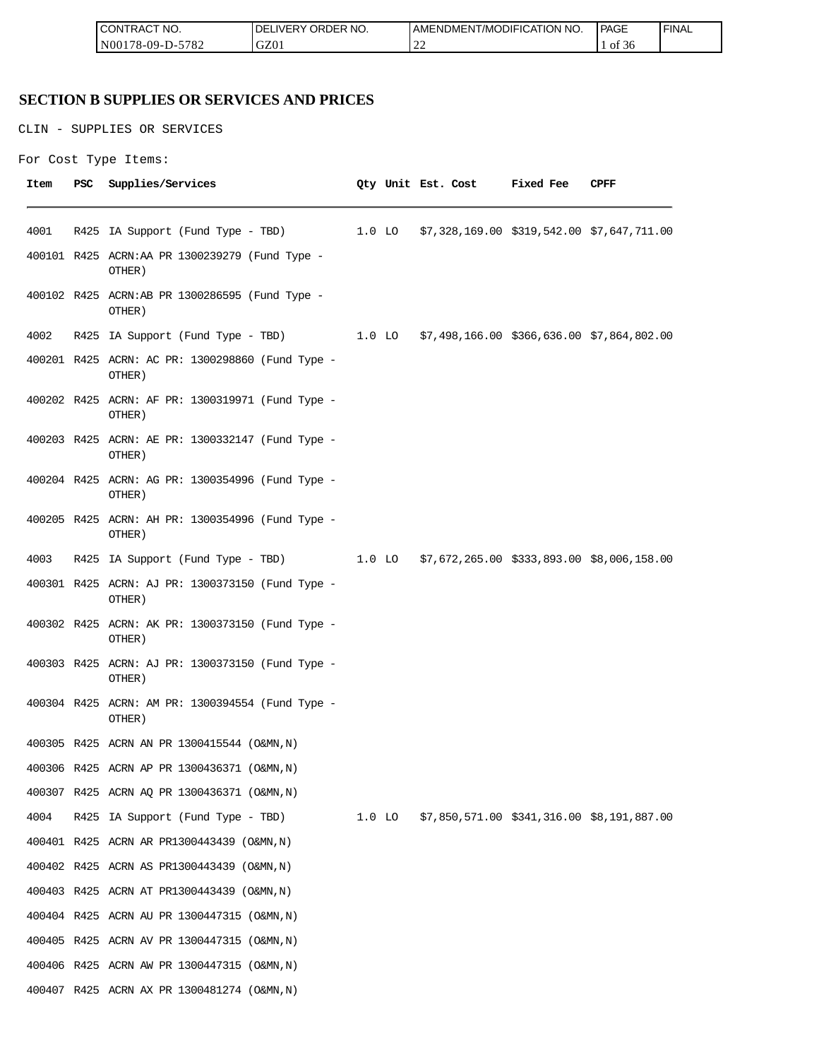| <b>CONTRACT NO.</b> | <b>IDELIVERY ORDER NO.</b> | AMENDMENT/MODIFICATION NO.         | <b>PAGE</b>                   | 'FINAL |
|---------------------|----------------------------|------------------------------------|-------------------------------|--------|
| N00178-09-D-5782    | GZ01                       | $\cap$<br>$\overline{\phantom{a}}$ | $\sim$ $\sim$ $\sim$<br>of 36 |        |

# **SECTION B SUPPLIES OR SERVICES AND PRICES**

CLIN - SUPPLIES OR SERVICES

```
For Cost Type Items:
```

| Item | PSC | Supplies/Services                                                                   |  | Qty Unit Est. Cost                                | Fixed Fee | CPFF |
|------|-----|-------------------------------------------------------------------------------------|--|---------------------------------------------------|-----------|------|
|      |     |                                                                                     |  |                                                   |           |      |
| 4001 |     | R425 IA Support (Fund Type - TBD)                                                   |  | 1.0 LO \$7,328,169.00 \$319,542.00 \$7,647,711.00 |           |      |
|      |     | 400101 R425 ACRN:AA PR 1300239279 (Fund Type -<br>OTHER)                            |  |                                                   |           |      |
|      |     | 400102 R425 ACRN:AB PR 1300286595 (Fund Type -<br>OTHER)                            |  |                                                   |           |      |
| 4002 |     | R425 IA Support (Fund Type - TBD) 1.0 LO \$7,498,166.00 \$366,636.00 \$7,864,802.00 |  |                                                   |           |      |
|      |     | 400201 R425 ACRN: AC PR: 1300298860 (Fund Type -<br>OTHER)                          |  |                                                   |           |      |
|      |     | 400202 R425 ACRN: AF PR: 1300319971 (Fund Type -<br>OTHER)                          |  |                                                   |           |      |
|      |     | 400203 R425 ACRN: AE PR: 1300332147 (Fund Type -<br>OTHER)                          |  |                                                   |           |      |
|      |     | 400204 R425 ACRN: AG PR: 1300354996 (Fund Type -<br>OTHER)                          |  |                                                   |           |      |
|      |     | 400205 R425 ACRN: AH PR: 1300354996 (Fund Type -<br>OTHER)                          |  |                                                   |           |      |
| 4003 |     | R425 IA Support (Fund Type - TBD) 1.0 LO \$7,672,265.00 \$333,893.00 \$8,006,158.00 |  |                                                   |           |      |
|      |     | 400301 R425 ACRN: AJ PR: 1300373150 (Fund Type -<br>OTHER)                          |  |                                                   |           |      |
|      |     | 400302 R425 ACRN: AK PR: 1300373150 (Fund Type -<br>OTHER)                          |  |                                                   |           |      |
|      |     | 400303 R425 ACRN: AJ PR: 1300373150 (Fund Type -<br>OTHER)                          |  |                                                   |           |      |
|      |     | 400304 R425 ACRN: AM PR: 1300394554 (Fund Type -<br>OTHER)                          |  |                                                   |           |      |
|      |     | 400305 R425 ACRN AN PR 1300415544 (O&MN, N)                                         |  |                                                   |           |      |
|      |     | 400306 R425 ACRN AP PR 1300436371 (O&MN, N)                                         |  |                                                   |           |      |
|      |     | 400307 R425 ACRN AQ PR 1300436371 (O&MN, N)                                         |  |                                                   |           |      |
| 4004 |     | R425 IA Support (Fund Type - TBD) 1.0 LO \$7,850,571.00 \$341,316.00 \$8,191,887.00 |  |                                                   |           |      |
|      |     | 400401 R425 ACRN AR PR1300443439 (O&MN, N)                                          |  |                                                   |           |      |
|      |     | 400402 R425 ACRN AS PR1300443439 (O&MN, N)                                          |  |                                                   |           |      |
|      |     | 400403 R425 ACRN AT PR1300443439 (O&MN, N)                                          |  |                                                   |           |      |
|      |     | 400404 R425 ACRN AU PR 1300447315 (O&MN, N)                                         |  |                                                   |           |      |
|      |     | 400405 R425 ACRN AV PR 1300447315 (O&MN, N)                                         |  |                                                   |           |      |
|      |     | 400406 R425 ACRN AW PR 1300447315 (O&MN, N)                                         |  |                                                   |           |      |
|      |     | 400407 R425 ACRN AX PR 1300481274 (O&MN, N)                                         |  |                                                   |           |      |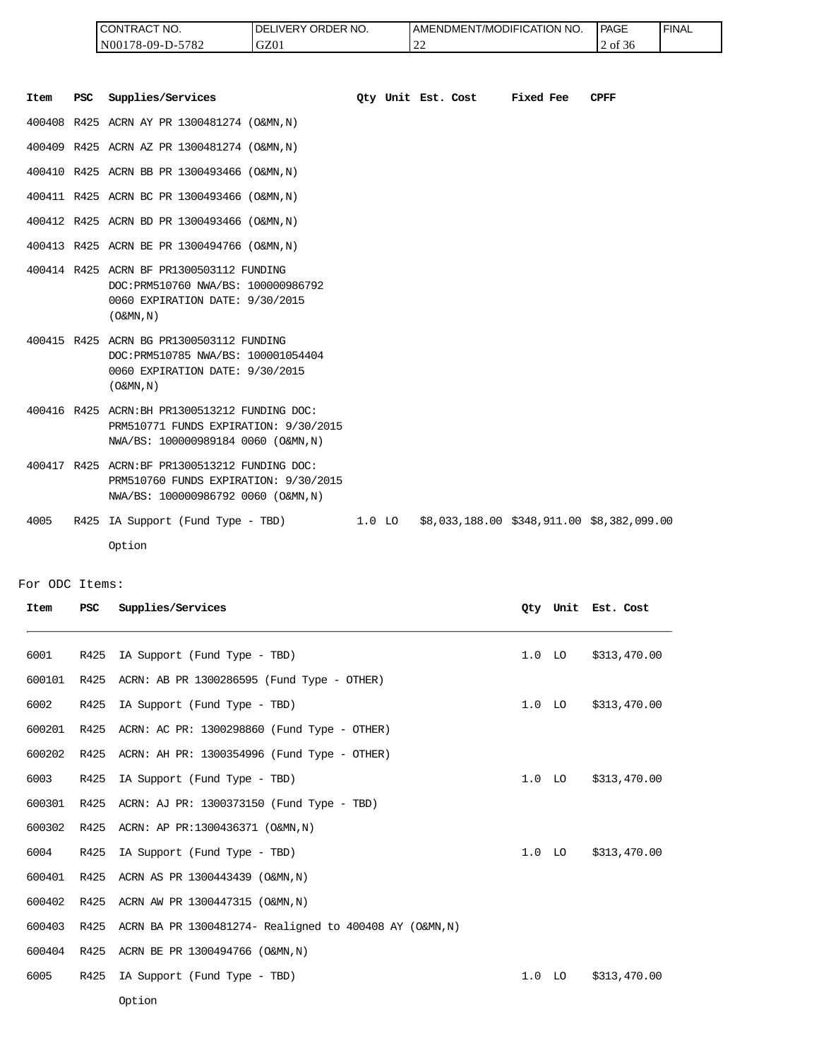| <b>ICONTRACT NO.</b> | I DELIVERY ORDER NO. | <b>I AMENDMENT/MODIFICATION NO.</b> | PAGE    | ' FINAL |
|----------------------|----------------------|-------------------------------------|---------|---------|
| N00178-09-D-5782     | GZ01                 | $\sim$<br>$\overline{\phantom{a}}$  | 2 of 36 |         |

| Item | <b>PSC</b> | Supplies/Services                                                                                                              | Oty Unit Est. Cost |  | Fixed Fee | <b>CPFF</b>                                |
|------|------------|--------------------------------------------------------------------------------------------------------------------------------|--------------------|--|-----------|--------------------------------------------|
|      |            | 400408 R425 ACRN AY PR 1300481274 (O&MN, N)                                                                                    |                    |  |           |                                            |
|      |            | 400409 R425 ACRN AZ PR 1300481274 (O&MN, N)                                                                                    |                    |  |           |                                            |
|      |            | 400410 R425 ACRN BB PR 1300493466 (O&MN, N)                                                                                    |                    |  |           |                                            |
|      |            | 400411 R425 ACRN BC PR 1300493466 (O&MN, N)                                                                                    |                    |  |           |                                            |
|      |            | 400412 R425 ACRN BD PR 1300493466 (O&MN, N)                                                                                    |                    |  |           |                                            |
|      |            | 400413 R425 ACRN BE PR 1300494766 (O&MN, N)                                                                                    |                    |  |           |                                            |
|      |            | 400414 R425 ACRN BF PR1300503112 FUNDING<br>DOC: PRM510760 NWA/BS: 100000986792<br>0060 EXPIRATION DATE: 9/30/2015<br>(0&MN,N) |                    |  |           |                                            |
|      |            | 400415 R425 ACRN BG PR1300503112 FUNDING<br>DOC: PRM510785 NWA/BS: 100001054404<br>0060 EXPIRATION DATE: 9/30/2015<br>(0&MN,N) |                    |  |           |                                            |
|      |            | 400416 R425 ACRN: BH PR1300513212 FUNDING DOC:<br>PRM510771 FUNDS EXPIRATION: 9/30/2015<br>NWA/BS: 100000989184 0060 (O&MN, N) |                    |  |           |                                            |
|      |            | 400417 R425 ACRN:BF PR1300513212 FUNDING DOC:<br>PRM510760 FUNDS EXPIRATION: 9/30/2015<br>NWA/BS: 100000986792 0060 (O&MN, N)  |                    |  |           |                                            |
| 4005 |            | R425 IA Support (Fund Type - TBD)                                                                                              | $1.0$ LO           |  |           | \$8,033,188.00 \$348,911.00 \$8,382,099.00 |
|      |            | Option                                                                                                                         |                    |  |           |                                            |

For ODC Items:

| Item   | <b>PSC</b> | Supplies/Services                                       |                   |          | Oty Unit Est. Cost |
|--------|------------|---------------------------------------------------------|-------------------|----------|--------------------|
| 6001   | R425       | IA Support (Fund Type - TBD)                            | 1.0 <sub>LO</sub> |          | \$313,470.00       |
| 600101 | R425       | ACRN: AB PR 1300286595 (Fund Type - OTHER)              |                   |          |                    |
| 6002   | R425       | IA Support (Fund Type - TBD)                            | 1.0               | LO       | \$313,470.00       |
| 600201 | R425       | ACRN: AC PR: 1300298860 (Fund Type - OTHER)             |                   |          |                    |
| 600202 | R425       | ACRN: AH PR: 1300354996 (Fund Type - OTHER)             |                   |          |                    |
| 6003   | R425       | IA Support (Fund Type - TBD)                            |                   | $1.0$ LO | \$313,470.00       |
| 600301 | R425       | ACRN: AJ PR: 1300373150 (Fund Type - TBD)               |                   |          |                    |
| 600302 | R425       | ACRN: AP PR:1300436371 (O&MN, N)                        |                   |          |                    |
| 6004   | R425       | IA Support (Fund Type - TBD)                            | 1.0               | LO       | \$313,470.00       |
| 600401 | R425       | ACRN AS PR 1300443439 (O&MN, N)                         |                   |          |                    |
| 600402 | R425       | ACRN AW PR 1300447315 (O&MN, N)                         |                   |          |                    |
| 600403 | R425       | ACRN BA PR 1300481274- Realigned to 400408 AY (O&MN, N) |                   |          |                    |
| 600404 | R425       | ACRN BE PR 1300494766 (O&MN, N)                         |                   |          |                    |
| 6005   | R425       | IA Support (Fund Type - TBD)                            | 1.0               | LO       | \$313,470.00       |
|        |            | Option                                                  |                   |          |                    |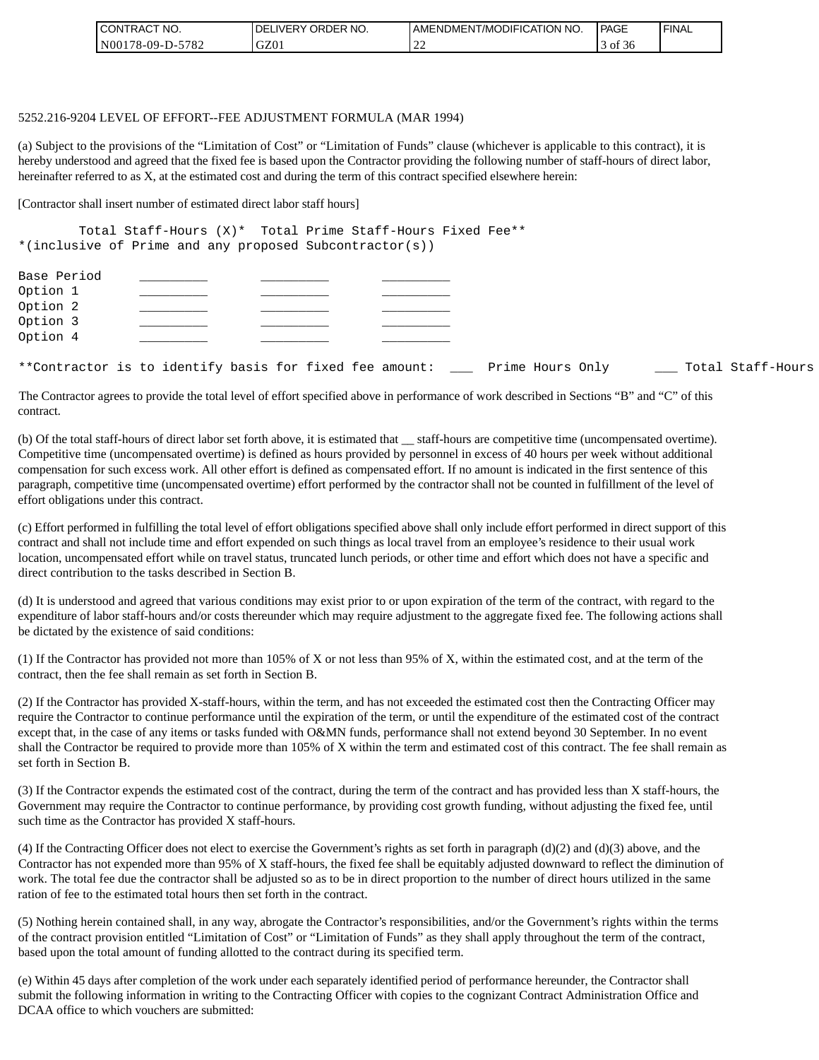| I CONTRACT NO.         | ' ORDER NO.<br><b>DELIVERY</b> | <b>AMENDMENT/MODIFICATION NO.</b>  | PAGE                                | <b>I FINAL</b> |
|------------------------|--------------------------------|------------------------------------|-------------------------------------|----------------|
| N00178-09-D-5<br>-5782 | GZ01                           | $\sim$<br>$\overline{\phantom{a}}$ | $\sim$ $\sim$ $\sim$<br>- of<br>-36 |                |

#### 5252.216-9204 LEVEL OF EFFORT--FEE ADJUSTMENT FORMULA (MAR 1994)

(a) Subject to the provisions of the "Limitation of Cost" or "Limitation of Funds" clause (whichever is applicable to this contract), it is hereby understood and agreed that the fixed fee is based upon the Contractor providing the following number of staff-hours of direct labor, hereinafter referred to as X, at the estimated cost and during the term of this contract specified elsewhere herein:

[Contractor shall insert number of estimated direct labor staff hours]

Total Staff-Hours (X)\* Total Prime Staff-Hours Fixed Fee\*\* \*(inclusive of Prime and any proposed Subcontractor(s))

| Base Period<br>Option 1                                     |  |  |  |  |                  |  |                   |
|-------------------------------------------------------------|--|--|--|--|------------------|--|-------------------|
| Option 2                                                    |  |  |  |  |                  |  |                   |
| Option 3                                                    |  |  |  |  |                  |  |                   |
| Option 4                                                    |  |  |  |  |                  |  |                   |
| **Contractor is to identify basis for fixed fee amount: ___ |  |  |  |  | Prime Hours Only |  | Total Staff-Hours |

The Contractor agrees to provide the total level of effort specified above in performance of work described in Sections "B" and "C" of this contract.

(b) Of the total staff-hours of direct labor set forth above, it is estimated that \_\_ staff-hours are competitive time (uncompensated overtime). Competitive time (uncompensated overtime) is defined as hours provided by personnel in excess of 40 hours per week without additional compensation for such excess work. All other effort is defined as compensated effort. If no amount is indicated in the first sentence of this paragraph, competitive time (uncompensated overtime) effort performed by the contractor shall not be counted in fulfillment of the level of effort obligations under this contract.

(c) Effort performed in fulfilling the total level of effort obligations specified above shall only include effort performed in direct support of this contract and shall not include time and effort expended on such things as local travel from an employee's residence to their usual work location, uncompensated effort while on travel status, truncated lunch periods, or other time and effort which does not have a specific and direct contribution to the tasks described in Section B.

(d) It is understood and agreed that various conditions may exist prior to or upon expiration of the term of the contract, with regard to the expenditure of labor staff-hours and/or costs thereunder which may require adjustment to the aggregate fixed fee. The following actions shall be dictated by the existence of said conditions:

(1) If the Contractor has provided not more than 105% of X or not less than 95% of X, within the estimated cost, and at the term of the contract, then the fee shall remain as set forth in Section B.

(2) If the Contractor has provided X-staff-hours, within the term, and has not exceeded the estimated cost then the Contracting Officer may require the Contractor to continue performance until the expiration of the term, or until the expenditure of the estimated cost of the contract except that, in the case of any items or tasks funded with O&MN funds, performance shall not extend beyond 30 September. In no event shall the Contractor be required to provide more than 105% of X within the term and estimated cost of this contract. The fee shall remain as set forth in Section B.

(3) If the Contractor expends the estimated cost of the contract, during the term of the contract and has provided less than X staff-hours, the Government may require the Contractor to continue performance, by providing cost growth funding, without adjusting the fixed fee, until such time as the Contractor has provided X staff-hours.

(4) If the Contracting Officer does not elect to exercise the Government's rights as set forth in paragraph  $(d)(2)$  and  $(d)(3)$  above, and the Contractor has not expended more than 95% of X staff-hours, the fixed fee shall be equitably adjusted downward to reflect the diminution of work. The total fee due the contractor shall be adjusted so as to be in direct proportion to the number of direct hours utilized in the same ration of fee to the estimated total hours then set forth in the contract.

(5) Nothing herein contained shall, in any way, abrogate the Contractor's responsibilities, and/or the Government's rights within the terms of the contract provision entitled "Limitation of Cost" or "Limitation of Funds" as they shall apply throughout the term of the contract, based upon the total amount of funding allotted to the contract during its specified term.

(e) Within 45 days after completion of the work under each separately identified period of performance hereunder, the Contractor shall submit the following information in writing to the Contracting Officer with copies to the cognizant Contract Administration Office and DCAA office to which vouchers are submitted: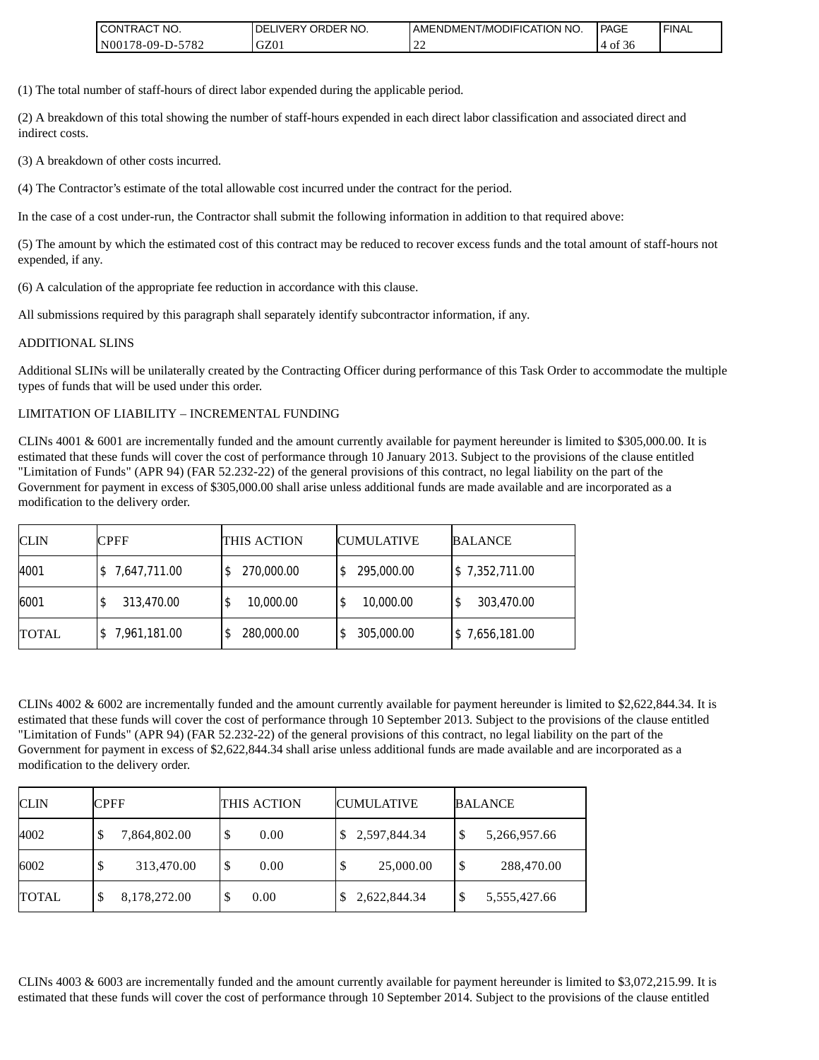| <b>ICONTRACT</b><br>`NO.          | ORDER NO.<br>DELIVERY O | AMENDMENT/MODIFICATION NO. | PAGE                             | <sup>I</sup> FINAL |
|-----------------------------------|-------------------------|----------------------------|----------------------------------|--------------------|
| 0178-09-D-5782<br>N <sub>00</sub> | GZ01                    | $\sim$<br>ے بے             | $\sim$ $\sim$<br>Оİ<br>4<br>- 50 |                    |

(1) The total number of staff-hours of direct labor expended during the applicable period.

(2) A breakdown of this total showing the number of staff-hours expended in each direct labor classification and associated direct and indirect costs.

(3) A breakdown of other costs incurred.

(4) The Contractor's estimate of the total allowable cost incurred under the contract for the period.

In the case of a cost under-run, the Contractor shall submit the following information in addition to that required above:

(5) The amount by which the estimated cost of this contract may be reduced to recover excess funds and the total amount of staff-hours not expended, if any.

(6) A calculation of the appropriate fee reduction in accordance with this clause.

All submissions required by this paragraph shall separately identify subcontractor information, if any.

#### ADDITIONAL SLINS

Additional SLINs will be unilaterally created by the Contracting Officer during performance of this Task Order to accommodate the multiple types of funds that will be used under this order.

#### LIMITATION OF LIABILITY – INCREMENTAL FUNDING

CLINs 4001 & 6001 are incrementally funded and the amount currently available for payment hereunder is limited to \$305,000.00. It is estimated that these funds will cover the cost of performance through 10 January 2013. Subject to the provisions of the clause entitled "Limitation of Funds" (APR 94) (FAR 52.232-22) of the general provisions of this contract, no legal liability on the part of the Government for payment in excess of \$305,000.00 shall arise unless additional funds are made available and are incorporated as a modification to the delivery order.

| <b>CLIN</b>  | <b>CPFF</b>  | THIS ACTION     | <b>CUMULATIVE</b> | <b>BALANCE</b> |
|--------------|--------------|-----------------|-------------------|----------------|
| 4001         | 7,647,711.00 | 270,000.00      | 295,000.00        | \$7,352,711.00 |
| 6001         | 313,470.00   | 10,000.00<br>\$ | 10,000.00         | 303,470.00     |
| <b>TOTAL</b> | 7,961,181.00 | 280,000.00      | 305,000.00        | \$7,656,181.00 |

CLINs 4002 & 6002 are incrementally funded and the amount currently available for payment hereunder is limited to \$2,622,844.34. It is estimated that these funds will cover the cost of performance through 10 September 2013. Subject to the provisions of the clause entitled "Limitation of Funds" (APR 94) (FAR 52.232-22) of the general provisions of this contract, no legal liability on the part of the Government for payment in excess of \$2,622,844.34 shall arise unless additional funds are made available and are incorporated as a modification to the delivery order.

| <b>CLIN</b>  | <b>CPFF</b>       | THIS ACTION    | <b>CUMULATIVE</b> | <b>BALANCE</b>                          |
|--------------|-------------------|----------------|-------------------|-----------------------------------------|
| 4002         | 7,864,802.00<br>Φ | ¢<br>0.00<br>Φ | 2,597,844.34      | \$<br>5,266,957.66                      |
| 6002         | 313,470.00        | S<br>0.00      | 25,000.00<br>S    | $\boldsymbol{\mathsf{S}}$<br>288,470.00 |
| <b>TOTAL</b> | 8,178,272.00<br>J | 0.00<br>D      | 2,622,844.34      | \$<br>5,555,427.66                      |

CLINs 4003 & 6003 are incrementally funded and the amount currently available for payment hereunder is limited to \$3,072,215.99. It is estimated that these funds will cover the cost of performance through 10 September 2014. Subject to the provisions of the clause entitled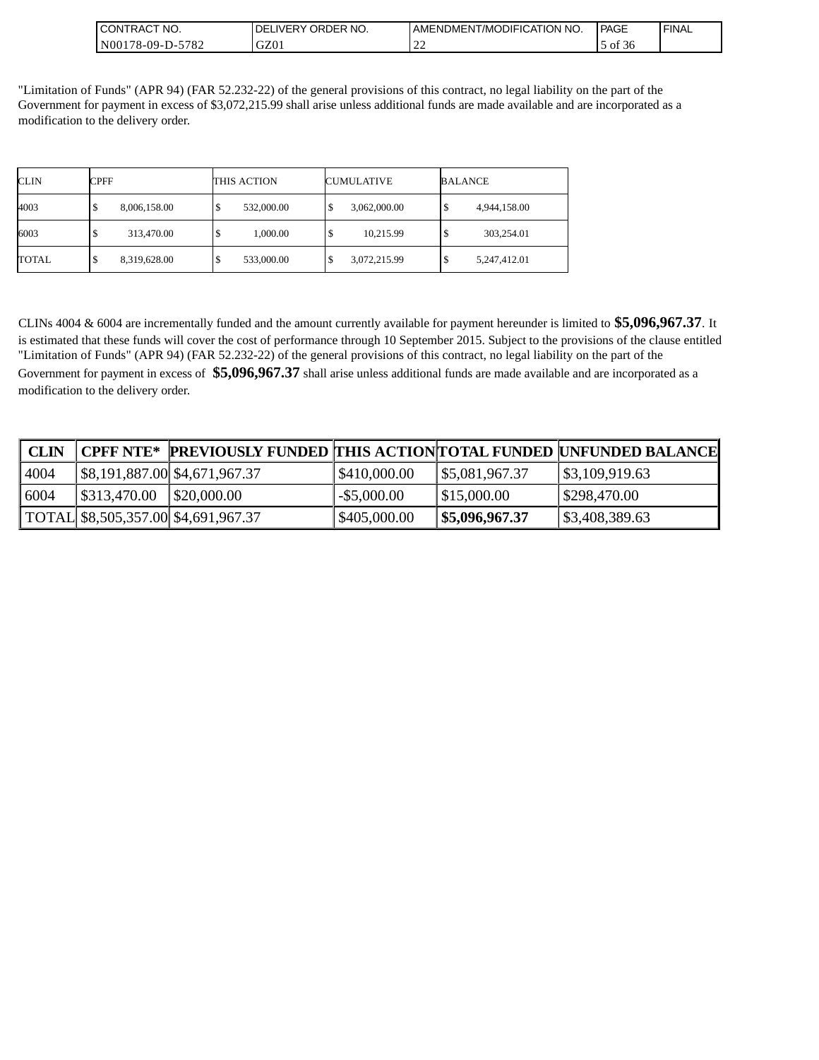| 'NO.<br>NTRACT<br>CON.                          | ORDER NO.<br><b>NERY</b><br>DF | I AMENDMENT/MODIFICATION NO.  | PAGE                       | <b>FINAL</b> |
|-------------------------------------------------|--------------------------------|-------------------------------|----------------------------|--------------|
| 5701<br>N00 <sup>1</sup><br>$78-09-D$ -<br>7/84 | $\sim$ 701<br>QZ01             | $\overline{\phantom{a}}$<br>∸ | $\sim$ $\sim$<br>ΟĪ<br>.36 |              |

"Limitation of Funds" (APR 94) (FAR 52.232-22) of the general provisions of this contract, no legal liability on the part of the Government for payment in excess of \$3,072,215.99 shall arise unless additional funds are made available and are incorporated as a modification to the delivery order.

| <b>CLIN</b> | <b>CPFF</b>       | THIS ACTION | <b>CUMULATIVE</b>   | <b>BALANCE</b> |
|-------------|-------------------|-------------|---------------------|----------------|
| 4003        | 8,006,158.00<br>S | 532,000.00  | 3,062,000.00<br>S   | 4,944,158.00   |
| 6003        | 313,470.00<br>\$  | 1,000.00    | 10,215.99<br>S      | 303,254.01     |
| TOTAL       | 8,319,628.00<br>Φ | 533,000.00  | 3,072,215.99<br>-42 | 5,247,412.01   |

CLINs 4004 & 6004 are incrementally funded and the amount currently available for payment hereunder is limited to **\$5,096,967.37**. It is estimated that these funds will cover the cost of performance through 10 September 2015. Subject to the provisions of the clause entitled "Limitation of Funds" (APR 94) (FAR 52.232-22) of the general provisions of this contract, no legal liability on the part of the Government for payment in excess of **\$5,096,967.37** shall arise unless additional funds are made available and are incorporated as a modification to the delivery order.

| <b>CLIN</b> |              | CPFF NTE* PREVIOUSLY FUNDED THIS ACTION TOTAL FUNDED UNFUNDED BALANCE |                |                           |                |
|-------------|--------------|-----------------------------------------------------------------------|----------------|---------------------------|----------------|
| 4004        |              | \$8,191,887.00 \$4,671,967.37                                         | \$410,000.00   | \$5,081,967.37            | \$3,109,919.63 |
| 6004        | \$313,470.00 | \$20,000.00                                                           | $-$ \$5,000.00 | $\frac{1}{2}$ \$15,000.00 | \$298,470.00   |
|             |              | $\vert$ TOTAL \\$8,505,357.00 \\$4,691,967.37                         | \$405,000.00   | \$5,096,967.37            | \$3,408,389.63 |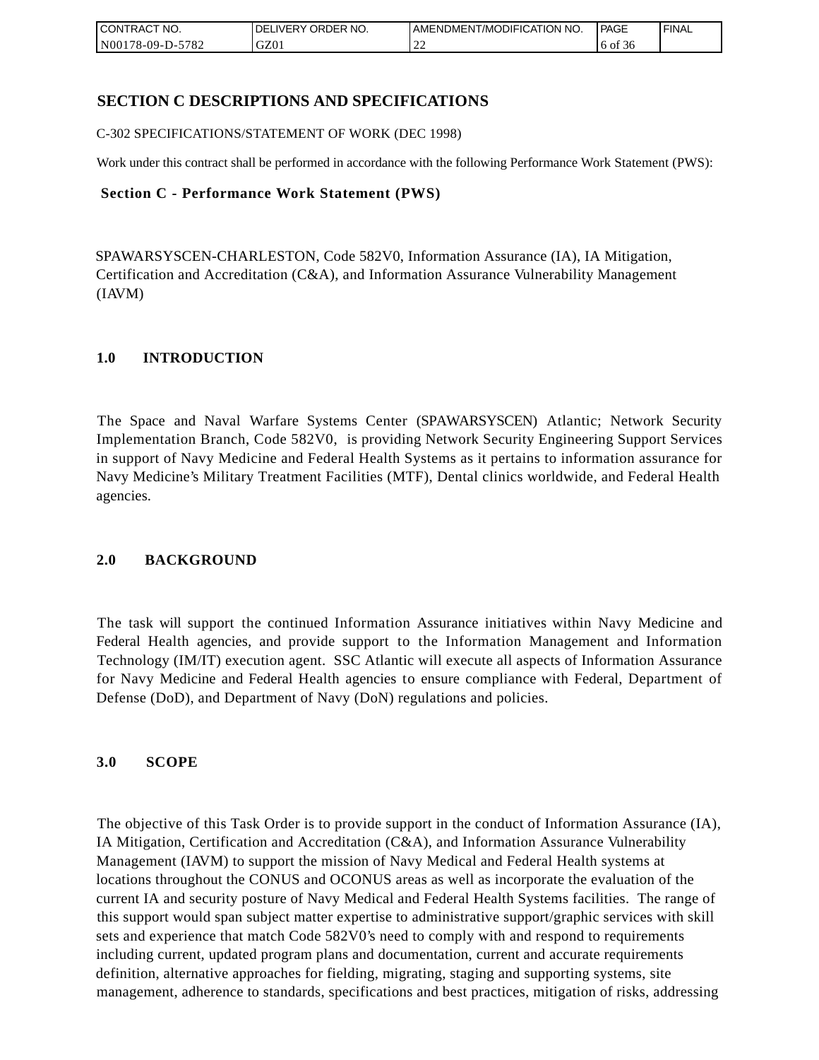| CONTRACT<br>CT NO.                       | NO.<br>' ORDER<br><b>DELIVERY</b> | AMENDMENT/MODIFICATION NO. | <b>PAGE</b> | 'FINAL |
|------------------------------------------|-----------------------------------|----------------------------|-------------|--------|
| 5782<br>N <sub>001</sub><br>$178-09-D$ - | GZ01                              | ∸                          | 6 of 36     |        |

# **SECTION C DESCRIPTIONS AND SPECIFICATIONS**

C-302 SPECIFICATIONS/STATEMENT OF WORK (DEC 1998)

Work under this contract shall be performed in accordance with the following Performance Work Statement (PWS):

### **Section C - Performance Work Statement (PWS)**

SPAWARSYSCEN-CHARLESTON, Code 582V0, Information Assurance (IA), IA Mitigation, Certification and Accreditation (C&A), and Information Assurance Vulnerability Management (IAVM)

## **1.0 INTRODUCTION**

The Space and Naval Warfare Systems Center (SPAWARSYSCEN) Atlantic; Network Security Implementation Branch, Code 582V0, is providing Network Security Engineering Support Services in support of Navy Medicine and Federal Health Systems as it pertains to information assurance for Navy Medicine's Military Treatment Facilities (MTF), Dental clinics worldwide, and Federal Health agencies.

## **2.0 BACKGROUND**

The task will support the continued Information Assurance initiatives within Navy Medicine and Federal Health agencies, and provide support to the Information Management and Information Technology (IM/IT) execution agent. SSC Atlantic will execute all aspects of Information Assurance for Navy Medicine and Federal Health agencies to ensure compliance with Federal, Department of Defense (DoD), and Department of Navy (DoN) regulations and policies.

## **3.0 SCOPE**

The objective of this Task Order is to provide support in the conduct of Information Assurance (IA), IA Mitigation, Certification and Accreditation (C&A), and Information Assurance Vulnerability Management (IAVM) to support the mission of Navy Medical and Federal Health systems at locations throughout the CONUS and OCONUS areas as well as incorporate the evaluation of the current IA and security posture of Navy Medical and Federal Health Systems facilities. The range of this support would span subject matter expertise to administrative support/graphic services with skill sets and experience that match Code 582V0's need to comply with and respond to requirements including current, updated program plans and documentation, current and accurate requirements definition, alternative approaches for fielding, migrating, staging and supporting systems, site management, adherence to standards, specifications and best practices, mitigation of risks, addressing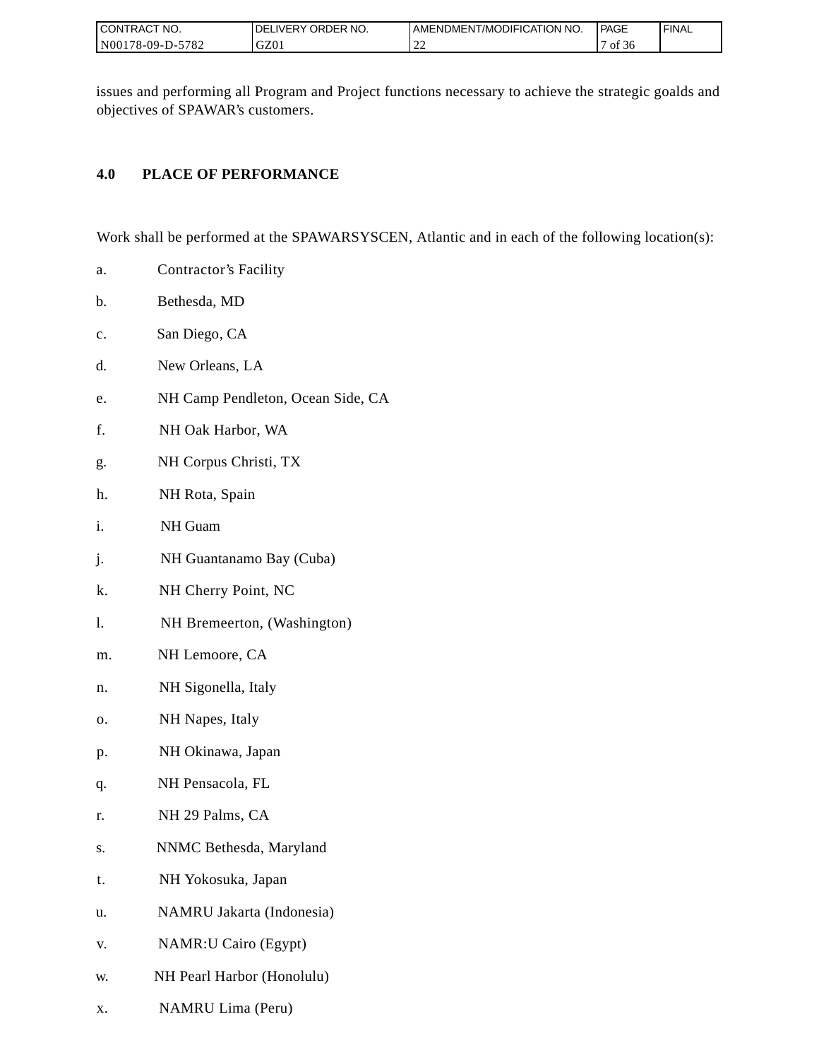| I CONTRACT NO.        | ORDER NO.<br>DEL<br><b>IVERY</b> | AMENDMENT/MODIFICATION NO. | PAGE     | <b>FINAL</b> |
|-----------------------|----------------------------------|----------------------------|----------|--------------|
| 178-09-D-5782<br>N001 | GZ01                             | $\bigcap$<br>∸             | οt<br>зc |              |

issues and performing all Program and Project functions necessary to achieve the strategic goalds and objectives of SPAWAR's customers.

# **4.0 PLACE OF PERFORMANCE**

Work shall be performed at the SPAWARSYSCEN, Atlantic and in each of the following location(s):

- a. Contractor's Facility
- b. Bethesda, MD
- c. San Diego, CA
- d. New Orleans, LA
- e. NH Camp Pendleton, Ocean Side, CA
- f. NH Oak Harbor, WA
- g. NH Corpus Christi, TX
- h. NH Rota, Spain
- i. NH Guam
- j. NH Guantanamo Bay (Cuba)
- k. NH Cherry Point, NC
- l. NH Bremeerton, (Washington)
- m. NH Lemoore, CA
- n. NH Sigonella, Italy
- o. NH Napes, Italy
- p. NH Okinawa, Japan
- q. NH Pensacola, FL
- r. NH 29 Palms, CA
- s. NNMC Bethesda, Maryland
- t. NH Yokosuka, Japan
- u. NAMRU Jakarta (Indonesia)
- v. NAMR:U Cairo (Egypt)
- w. NH Pearl Harbor (Honolulu)
- x. NAMRU Lima (Peru)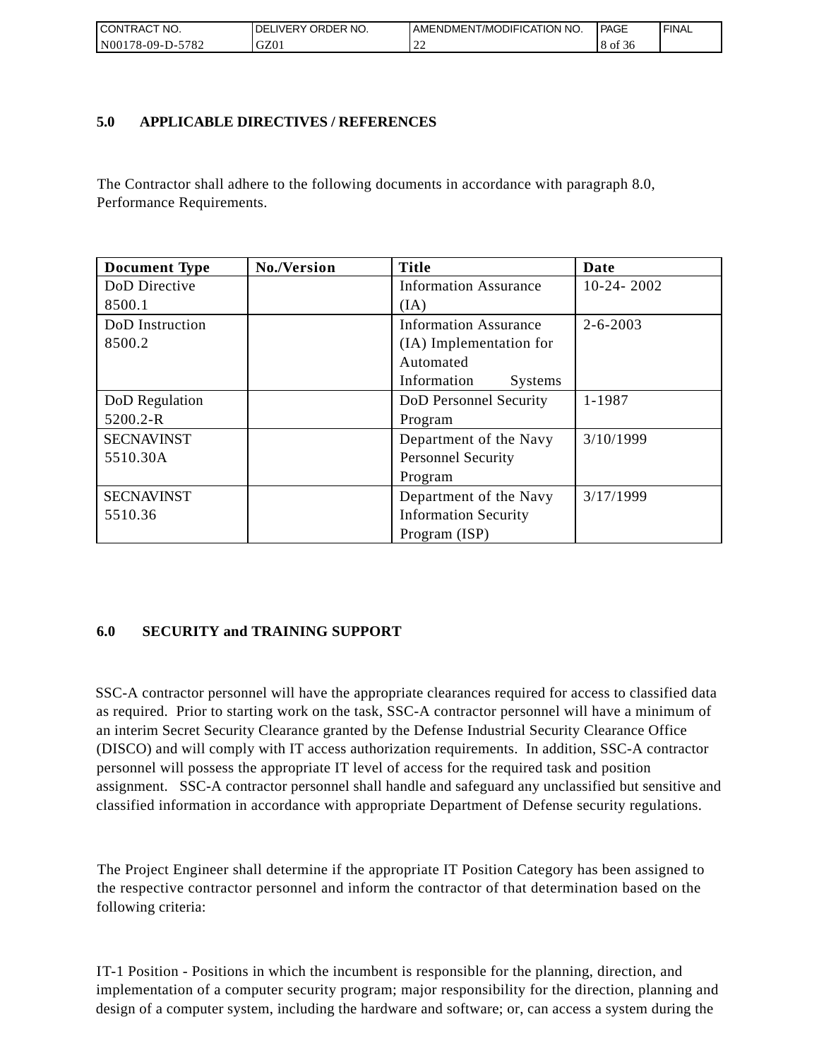| CONTRACT<br>°CT NO.      | ' ORDER NO.<br><b>DELIVERY</b> | AMENDMENT/MODIFICATION NO. | PAGE         | 'FINAL |
|--------------------------|--------------------------------|----------------------------|--------------|--------|
| N00<br>5782<br>78-09-D-J | GZ01                           | .                          | 8 of<br>- 20 |        |

## **5.0 APPLICABLE DIRECTIVES / REFERENCES**

The Contractor shall adhere to the following documents in accordance with paragraph 8.0, Performance Requirements.

| <b>Document Type</b> | No./Version | <b>Title</b>                  | Date           |
|----------------------|-------------|-------------------------------|----------------|
| DoD Directive        |             | <b>Information Assurance</b>  | $10-24-2002$   |
| 8500.1               |             | (IA)                          |                |
| DoD Instruction      |             | <b>Information Assurance</b>  | $2 - 6 - 2003$ |
| 8500.2               |             | (IA) Implementation for       |                |
|                      |             | Automated                     |                |
|                      |             | Information<br><b>Systems</b> |                |
| DoD Regulation       |             | DoD Personnel Security        | 1-1987         |
| 5200.2-R             |             | Program                       |                |
| <b>SECNAVINST</b>    |             | Department of the Navy        | 3/10/1999      |
| 5510.30A             |             | <b>Personnel Security</b>     |                |
|                      |             | Program                       |                |
| <b>SECNAVINST</b>    |             | Department of the Navy        | 3/17/1999      |
| 5510.36              |             | <b>Information Security</b>   |                |
|                      |             | Program (ISP)                 |                |

# **6.0 SECURITY and TRAINING SUPPORT**

SSC-A contractor personnel will have the appropriate clearances required for access to classified data as required. Prior to starting work on the task, SSC-A contractor personnel will have a minimum of an interim Secret Security Clearance granted by the Defense Industrial Security Clearance Office (DISCO) and will comply with IT access authorization requirements. In addition, SSC-A contractor personnel will possess the appropriate IT level of access for the required task and position assignment. SSC-A contractor personnel shall handle and safeguard any unclassified but sensitive and classified information in accordance with appropriate Department of Defense security regulations.

The Project Engineer shall determine if the appropriate IT Position Category has been assigned to the respective contractor personnel and inform the contractor of that determination based on the following criteria:

IT-1 Position - Positions in which the incumbent is responsible for the planning, direction, and implementation of a computer security program; major responsibility for the direction, planning and design of a computer system, including the hardware and software; or, can access a system during the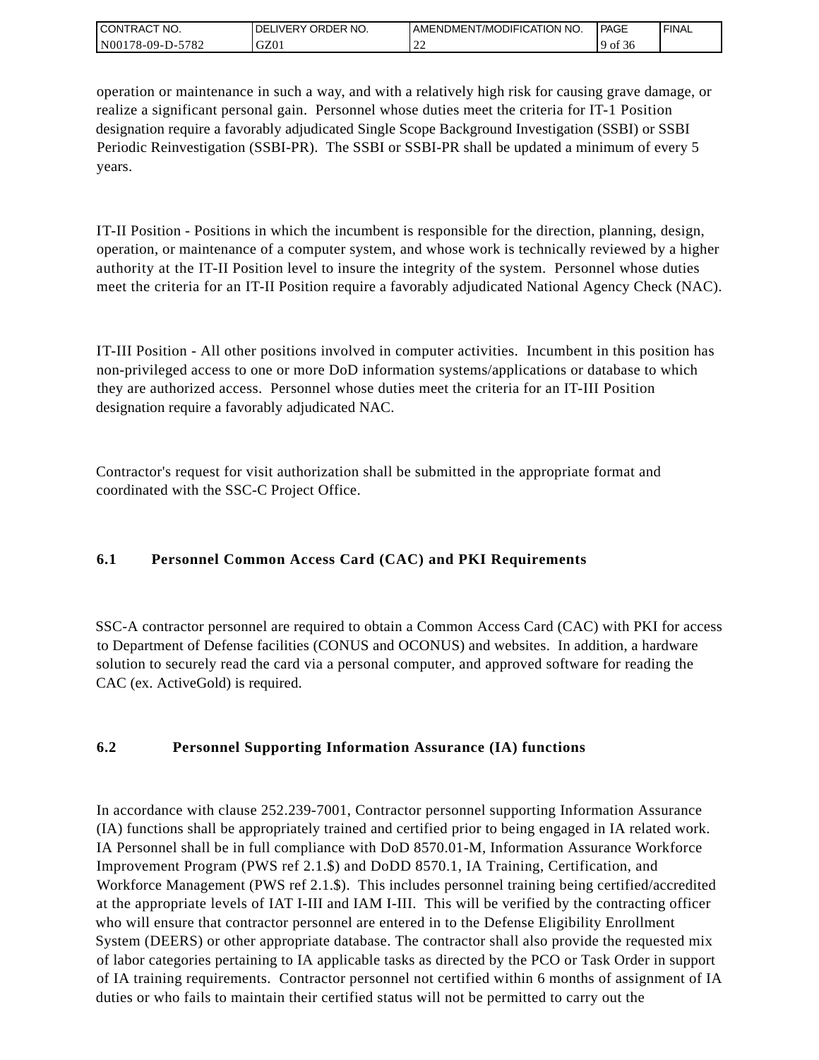| <b>CONTRACT NO.</b>            | NO.<br>' ORDER<br><b>DELIVERY</b> | AMENDMENT/MODIFICATION NO. | PAGE       | <b>I FINAL</b> |
|--------------------------------|-----------------------------------|----------------------------|------------|----------------|
| 5782<br>N001<br>'8-09-I<br>ב-⊂ | GZ01                              | ∸                          | -of<br>.36 |                |

operation or maintenance in such a way, and with a relatively high risk for causing grave damage, or realize a significant personal gain. Personnel whose duties meet the criteria for IT-1 Position designation require a favorably adjudicated Single Scope Background Investigation (SSBI) or SSBI Periodic Reinvestigation (SSBI-PR). The SSBI or SSBI-PR shall be updated a minimum of every 5 years.

IT-II Position - Positions in which the incumbent is responsible for the direction, planning, design, operation, or maintenance of a computer system, and whose work is technically reviewed by a higher authority at the IT-II Position level to insure the integrity of the system. Personnel whose duties meet the criteria for an IT-II Position require a favorably adjudicated National Agency Check (NAC).

IT-III Position - All other positions involved in computer activities. Incumbent in this position has non-privileged access to one or more DoD information systems/applications or database to which they are authorized access. Personnel whose duties meet the criteria for an IT-III Position designation require a favorably adjudicated NAC.

Contractor's request for visit authorization shall be submitted in the appropriate format and coordinated with the SSC-C Project Office.

# **6.1 Personnel Common Access Card (CAC) and PKI Requirements**

SSC-A contractor personnel are required to obtain a Common Access Card (CAC) with PKI for access to Department of Defense facilities (CONUS and OCONUS) and websites. In addition, a hardware solution to securely read the card via a personal computer, and approved software for reading the CAC (ex. ActiveGold) is required.

# **6.2 Personnel Supporting Information Assurance (IA) functions**

In accordance with clause 252.239-7001, Contractor personnel supporting Information Assurance (IA) functions shall be appropriately trained and certified prior to being engaged in IA related work. IA Personnel shall be in full compliance with DoD 8570.01-M, Information Assurance Workforce Improvement Program (PWS ref 2.1.\$) and DoDD 8570.1, IA Training, Certification, and Workforce Management (PWS ref 2.1.\$). This includes personnel training being certified/accredited at the appropriate levels of IAT I-III and IAM I-III. This will be verified by the contracting officer who will ensure that contractor personnel are entered in to the Defense Eligibility Enrollment System (DEERS) or other appropriate database. The contractor shall also provide the requested mix of labor categories pertaining to IA applicable tasks as directed by the PCO or Task Order in support of IA training requirements. Contractor personnel not certified within 6 months of assignment of IA duties or who fails to maintain their certified status will not be permitted to carry out the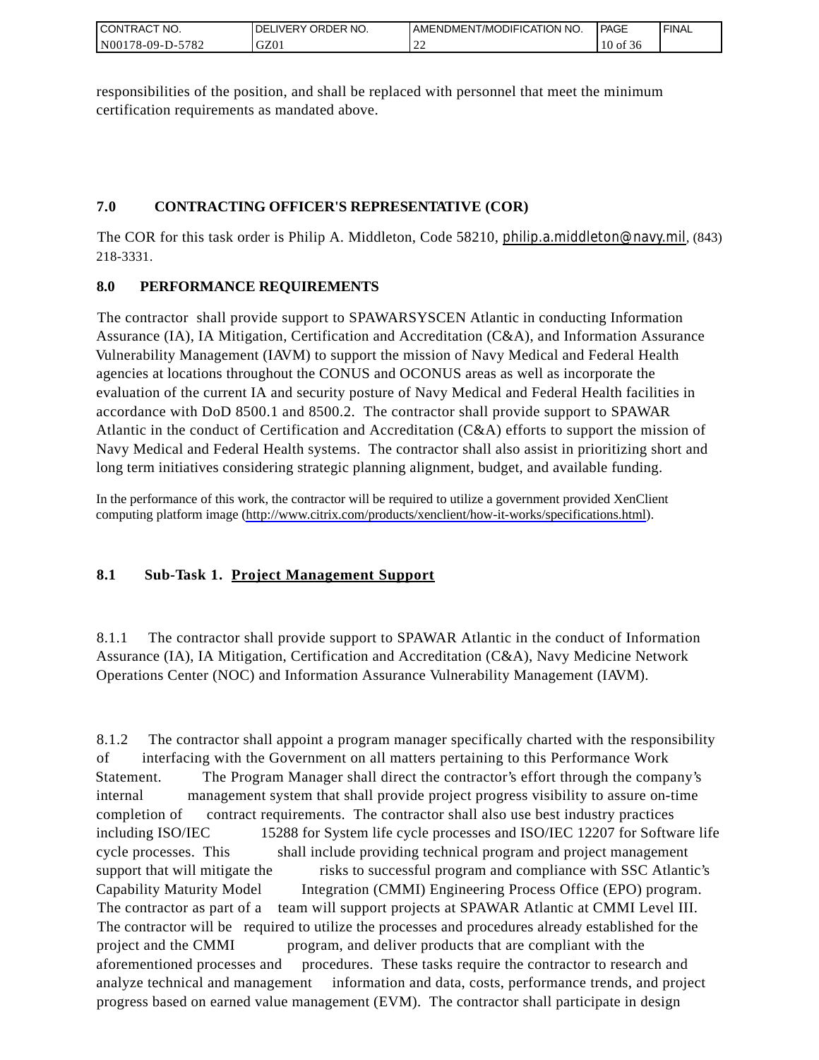| CONTRACT<br>°CT NO.      | NO.<br>' ORDER<br><b>DELIVERY</b> | AMENDMENT/MODIFICATION NO. | <b>PAGE</b>    | ' FINAL |
|--------------------------|-----------------------------------|----------------------------|----------------|---------|
| $-5782$<br>N00178-09-D-5 | GZ01                              | ∸                          | $10$ of<br>-50 |         |

responsibilities of the position, and shall be replaced with personnel that meet the minimum certification requirements as mandated above.

# **7.0 CONTRACTING OFFICER'S REPRESENTATIVE (COR)**

The COR for this task order is Philip A. Middleton, Code 58210, [philip.a.middleton@navy.mil](mailto:cphilip.a.middleton@navy.mil), (843) 218-3331.

# **8.0 PERFORMANCE REQUIREMENTS**

The contractor shall provide support to SPAWARSYSCEN Atlantic in conducting Information Assurance (IA), IA Mitigation, Certification and Accreditation (C&A), and Information Assurance Vulnerability Management (IAVM) to support the mission of Navy Medical and Federal Health agencies at locations throughout the CONUS and OCONUS areas as well as incorporate the evaluation of the current IA and security posture of Navy Medical and Federal Health facilities in accordance with DoD 8500.1 and 8500.2. The contractor shall provide support to SPAWAR Atlantic in the conduct of Certification and Accreditation (C&A) efforts to support the mission of Navy Medical and Federal Health systems. The contractor shall also assist in prioritizing short and long term initiatives considering strategic planning alignment, budget, and available funding.

In the performance of this work, the contractor will be required to utilize a government provided XenClient computing platform image [\(http://www.citrix.com/products/xenclient/how-it-works/specifications.html\)](http://www.citrix.com/products/xenclient/how-it-works/specifications.html).

# **8.1 Sub-Task 1. Project Management Support**

8.1.1 The contractor shall provide support to SPAWAR Atlantic in the conduct of Information Assurance (IA), IA Mitigation, Certification and Accreditation (C&A), Navy Medicine Network Operations Center (NOC) and Information Assurance Vulnerability Management (IAVM).

8.1.2 The contractor shall appoint a program manager specifically charted with the responsibility of interfacing with the Government on all matters pertaining to this Performance Work Statement. The Program Manager shall direct the contractor's effort through the company's internal management system that shall provide project progress visibility to assure on-time completion of contract requirements. The contractor shall also use best industry practices including ISO/IEC 15288 for System life cycle processes and ISO/IEC 12207 for Software life cycle processes. This shall include providing technical program and project management support that will mitigate the risks to successful program and compliance with SSC Atlantic's Capability Maturity Model Integration (CMMI) Engineering Process Office (EPO) program. The contractor as part of a team will support projects at SPAWAR Atlantic at CMMI Level III. The contractor will be required to utilize the processes and procedures already established for the project and the CMMI program, and deliver products that are compliant with the aforementioned processes and procedures. These tasks require the contractor to research and analyze technical and management information and data, costs, performance trends, and project progress based on earned value management (EVM). The contractor shall participate in design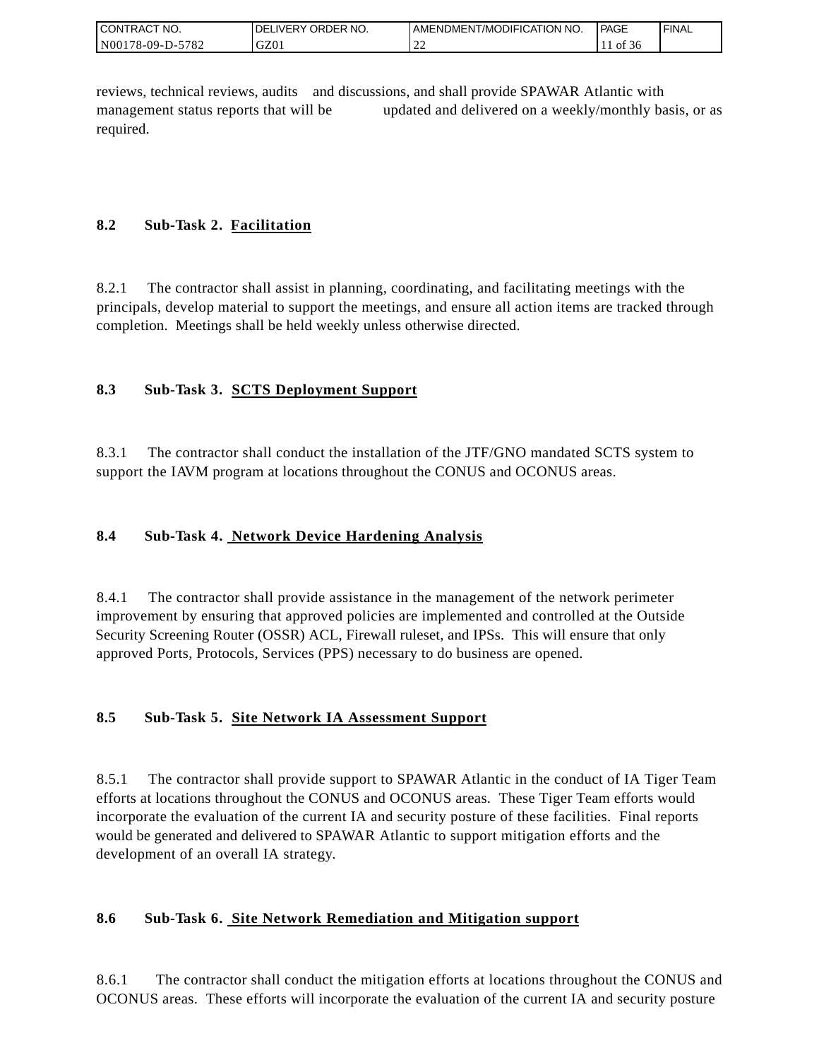| <b>I CONTRACT NO.</b> | ' ORDER NO.<br><b>DELIVERY</b> | I AMENDMENT/MODIFICATION NO.       | PAGE    | <b>FINAL</b> |
|-----------------------|--------------------------------|------------------------------------|---------|--------------|
| N00178-09-D-5782      | GZ0.                           | $\sim$<br>$\overline{\phantom{a}}$ | of $56$ |              |

reviews, technical reviews, audits and discussions, and shall provide SPAWAR Atlantic with management status reports that will be updated and delivered on a weekly/monthly basis, or as required.

# **8.2 Sub-Task 2. Facilitation**

8.2.1 The contractor shall assist in planning, coordinating, and facilitating meetings with the principals, develop material to support the meetings, and ensure all action items are tracked through completion. Meetings shall be held weekly unless otherwise directed.

# **8.3 Sub-Task 3. SCTS Deployment Support**

8.3.1 The contractor shall conduct the installation of the JTF/GNO mandated SCTS system to support the IAVM program at locations throughout the CONUS and OCONUS areas.

# **8.4 Sub-Task 4. Network Device Hardening Analysis**

8.4.1 The contractor shall provide assistance in the management of the network perimeter improvement by ensuring that approved policies are implemented and controlled at the Outside Security Screening Router (OSSR) ACL, Firewall ruleset, and IPSs. This will ensure that only approved Ports, Protocols, Services (PPS) necessary to do business are opened.

# **8.5 Sub-Task 5. Site Network IA Assessment Support**

8.5.1 The contractor shall provide support to SPAWAR Atlantic in the conduct of IA Tiger Team efforts at locations throughout the CONUS and OCONUS areas. These Tiger Team efforts would incorporate the evaluation of the current IA and security posture of these facilities. Final reports would be generated and delivered to SPAWAR Atlantic to support mitigation efforts and the development of an overall IA strategy.

# **8.6 Sub-Task 6. Site Network Remediation and Mitigation support**

8.6.1 The contractor shall conduct the mitigation efforts at locations throughout the CONUS and OCONUS areas. These efforts will incorporate the evaluation of the current IA and security posture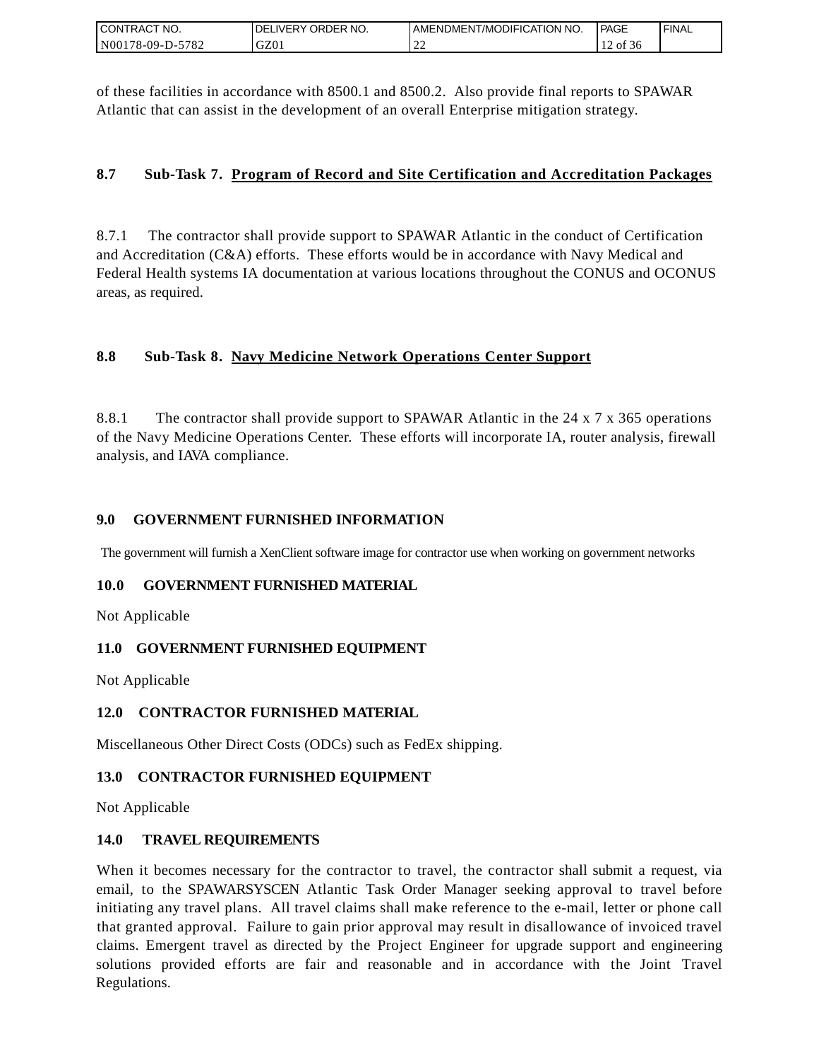| I CONTRACT NO.   | <b>DELIVERY ORDER NO.</b> | I AMENDMENT/MODIFICATION NO. | PAGE  | 'FINAL |
|------------------|---------------------------|------------------------------|-------|--------|
| N00178-09-D-5782 | GZ01                      | $\sim$<br>∸                  | of 36 |        |

of these facilities in accordance with 8500.1 and 8500.2. Also provide final reports to SPAWAR Atlantic that can assist in the development of an overall Enterprise mitigation strategy.

## **8.7 Sub-Task 7. Program of Record and Site Certification and Accreditation Packages**

8.7.1 The contractor shall provide support to SPAWAR Atlantic in the conduct of Certification and Accreditation (C&A) efforts. These efforts would be in accordance with Navy Medical and Federal Health systems IA documentation at various locations throughout the CONUS and OCONUS areas, as required.

# **8.8 Sub-Task 8. Navy Medicine Network Operations Center Support**

8.8.1 The contractor shall provide support to SPAWAR Atlantic in the 24 x 7 x 365 operations of the Navy Medicine Operations Center. These efforts will incorporate IA, router analysis, firewall analysis, and IAVA compliance.

## **9.0 GOVERNMENT FURNISHED INFORMATION**

The government will furnish a XenClient software image for contractor use when working on government networks

## **10.0 GOVERNMENT FURNISHED MATERIAL**

Not Applicable

## **11.0 GOVERNMENT FURNISHED EQUIPMENT**

Not Applicable

## **12.0 CONTRACTOR FURNISHED MATERIAL**

Miscellaneous Other Direct Costs (ODCs) such as FedEx shipping.

## **13.0 CONTRACTOR FURNISHED EQUIPMENT**

Not Applicable

## **14.0 TRAVEL REQUIREMENTS**

CONTRACT NO.<br>
NO0178-09-D-5<br>
CONTRACT NO.<br>
NO0178-09-D-5<br>
Of these facili<br>
Atlantic that of<br>
8.7 Sub-1<br>
8.7 Sub-1<br>
8.7 Sub-1<br>
8.8 Sub-1<br>
8.8 Sub-1<br>
8.8 Sub-1<br>
8.8.1 The of the Navy M<br>
8.8.1 The of the Navy M<br>
analysis, and When it becomes necessary for the contractor to travel, the contractor shall submit a request, via email, to the SPAWARSYSCEN Atlantic Task Order Manager seeking approval to travel before initiating any travel plans. All travel claims shall make reference to the e-mail, letter or phone call that granted approval. Failure to gain prior approval may result in disallowance of invoiced travel claims. Emergent travel as directed by the Project Engineer for upgrade support and engineering solutions provided efforts are fair and reasonable and in accordance with the Joint Travel Regulations.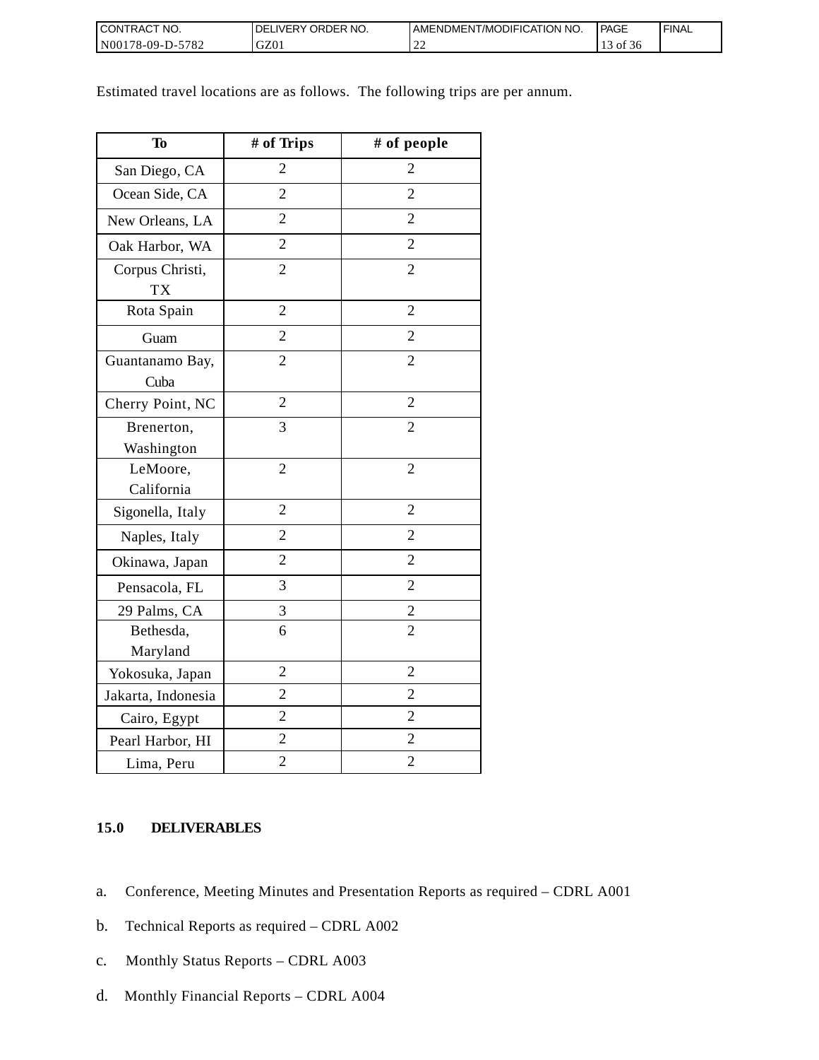| <b>CONTRACT NO.</b> | NO.<br><b>DELIVERY ORDER</b> | AMENDMENT/MODIFICATION NO. | <b>I PAGE</b> | ' FINAL |
|---------------------|------------------------------|----------------------------|---------------|---------|
| N00178-09-D-5782    | GZ01                         | --                         | of 36         |         |

Estimated travel locations are as follows. The following trips are per annum.

| <b>To</b>                    | # of Trips     | # of people    |
|------------------------------|----------------|----------------|
| San Diego, CA                | $\overline{2}$ | 2              |
| Ocean Side, CA               | $\overline{2}$ | $\overline{2}$ |
| New Orleans, LA              | $\overline{2}$ | $\overline{2}$ |
| Oak Harbor, WA               | $\overline{2}$ | $\overline{2}$ |
| Corpus Christi,<br><b>TX</b> | $\overline{2}$ | $\overline{2}$ |
| Rota Spain                   | $\overline{2}$ | $\overline{2}$ |
| Guam                         | $\overline{2}$ | $\overline{2}$ |
| Guantanamo Bay,<br>Cuba      | $\overline{2}$ | $\overline{2}$ |
| Cherry Point, NC             | $\overline{2}$ | $\overline{2}$ |
| Brenerton,<br>Washington     | 3              | $\overline{2}$ |
| LeMoore,<br>California       | $\overline{2}$ | $\overline{2}$ |
| Sigonella, Italy             | $\overline{2}$ | $\overline{2}$ |
| Naples, Italy                | $\overline{2}$ | $\overline{2}$ |
| Okinawa, Japan               | $\overline{2}$ | $\overline{2}$ |
| Pensacola, FL                | 3              | $\overline{2}$ |
| 29 Palms, CA                 | 3              | $\overline{c}$ |
| Bethesda,<br>Maryland        | 6              | $\overline{2}$ |
| Yokosuka, Japan              | $\overline{2}$ | $\overline{2}$ |
| Jakarta, Indonesia           | $\overline{2}$ | $\overline{2}$ |
| Cairo, Egypt                 | $\overline{2}$ | $\overline{2}$ |
| Pearl Harbor, HI             | $\overline{2}$ | $\overline{2}$ |
| Lima, Peru                   | $\overline{2}$ | $\overline{2}$ |

## **15.0 DELIVERABLES**

- a. Conference, Meeting Minutes and Presentation Reports as required CDRL A001
- b. Technical Reports as required CDRL A002
- c. Monthly Status Reports CDRL A003
- d. Monthly Financial Reports CDRL A004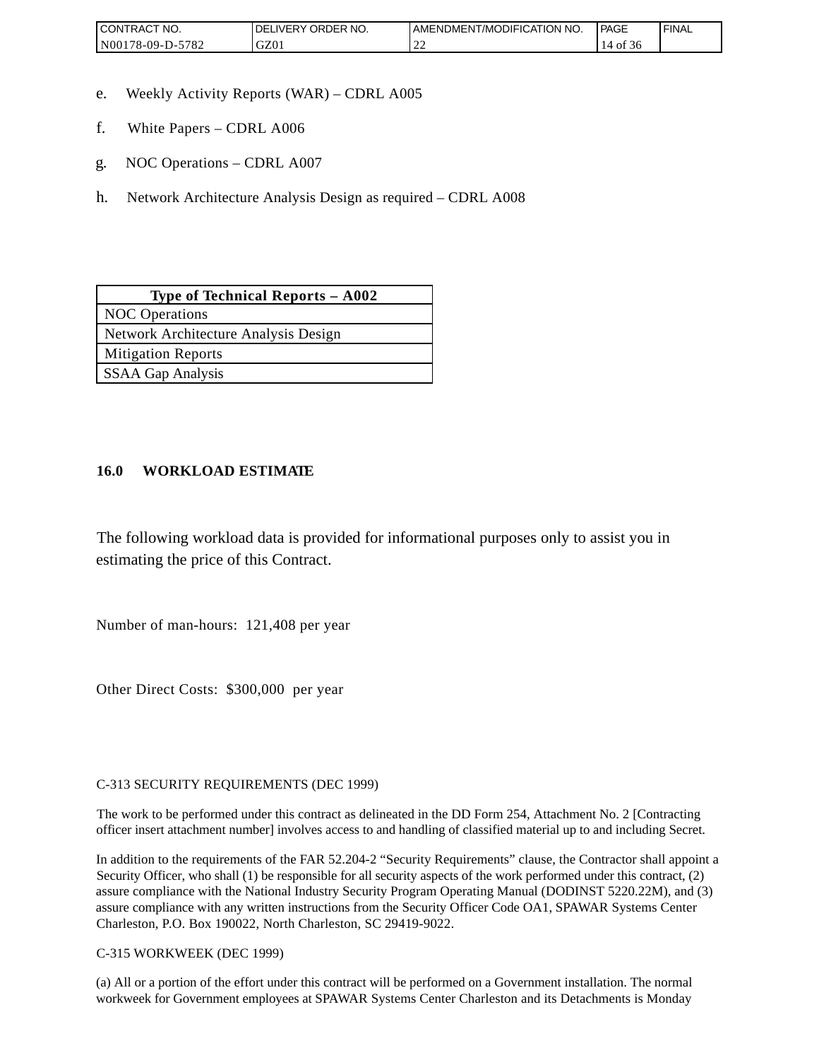| <b>CONTRAC</b><br>'NO.          | NO.<br><b>ORDER</b><br><b>DELIVERY</b> | AMENDMENT/MODIFICATION NO. | <b>PAGE</b> | 'FINAL |
|---------------------------------|----------------------------------------|----------------------------|-------------|--------|
| 5700<br>N00<br>78-09-D-.<br>104 | $\sim$<br>UZU.                         | ∸                          | - OI<br>.30 |        |

- e. Weekly Activity Reports (WAR) CDRL A005
- f. White Papers CDRL A006
- g. NOC Operations CDRL A007
- h. Network Architecture Analysis Design as required CDRL A008

| Type of Technical Reports $-$ A002   |
|--------------------------------------|
| <b>NOC</b> Operations                |
| Network Architecture Analysis Design |
| <b>Mitigation Reports</b>            |
| <b>SSAA Gap Analysis</b>             |

## **16.0 WORKLOAD ESTIMATE**

The following workload data is provided for informational purposes only to assist you in estimating the price of this Contract.

Number of man-hours: 121,408 per year

Other Direct Costs: \$300,000 per year

C-313 SECURITY REQUIREMENTS (DEC 1999)

The work to be performed under this contract as delineated in the DD Form 254, Attachment No. 2 [Contracting officer insert attachment number] involves access to and handling of classified material up to and including Secret.

In addition to the requirements of the FAR 52.204-2 "Security Requirements" clause, the Contractor shall appoint a Security Officer, who shall (1) be responsible for all security aspects of the work performed under this contract, (2) assure compliance with the National Industry Security Program Operating Manual (DODINST 5220.22M), and (3) assure compliance with any written instructions from the Security Officer Code OA1, SPAWAR Systems Center Charleston, P.O. Box 190022, North Charleston, SC 29419-9022.

C-315 WORKWEEK (DEC 1999)

(a) All or a portion of the effort under this contract will be performed on a Government installation. The normal workweek for Government employees at SPAWAR Systems Center Charleston and its Detachments is Monday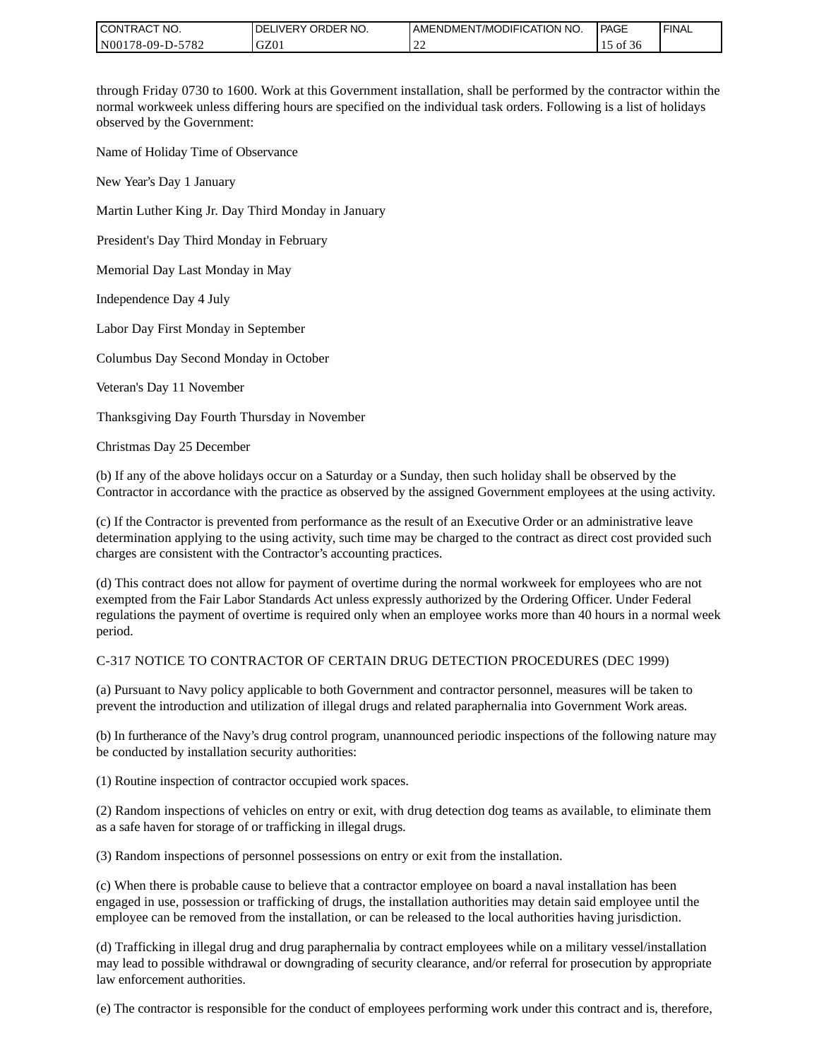| <b>I CONTRACT NO.</b> | ' ORDER NO.<br><b>DELIVERY</b> | I AMENDMENT/MODIFICATION NO.       | PAGE  | <b>FINAL</b> |
|-----------------------|--------------------------------|------------------------------------|-------|--------------|
| N00178-09-D-5782      | GZ0                            | $\sim$<br>$\overline{\phantom{a}}$ | 01 50 |              |

through Friday 0730 to 1600. Work at this Government installation, shall be performed by the contractor within the normal workweek unless differing hours are specified on the individual task orders. Following is a list of holidays observed by the Government:

Name of Holiday Time of Observance

New Year's Day 1 January

Martin Luther King Jr. Day Third Monday in January

President's Day Third Monday in February

Memorial Day Last Monday in May

Independence Day 4 July

Labor Day First Monday in September

Columbus Day Second Monday in October

Veteran's Day 11 November

Thanksgiving Day Fourth Thursday in November

Christmas Day 25 December

(b) If any of the above holidays occur on a Saturday or a Sunday, then such holiday shall be observed by the Contractor in accordance with the practice as observed by the assigned Government employees at the using activity.

(c) If the Contractor is prevented from performance as the result of an Executive Order or an administrative leave determination applying to the using activity, such time may be charged to the contract as direct cost provided such charges are consistent with the Contractor's accounting practices.

(d) This contract does not allow for payment of overtime during the normal workweek for employees who are not exempted from the Fair Labor Standards Act unless expressly authorized by the Ordering Officer. Under Federal regulations the payment of overtime is required only when an employee works more than 40 hours in a normal week period.

### C-317 NOTICE TO CONTRACTOR OF CERTAIN DRUG DETECTION PROCEDURES (DEC 1999)

(a) Pursuant to Navy policy applicable to both Government and contractor personnel, measures will be taken to prevent the introduction and utilization of illegal drugs and related paraphernalia into Government Work areas.

(b) In furtherance of the Navy's drug control program, unannounced periodic inspections of the following nature may be conducted by installation security authorities:

(1) Routine inspection of contractor occupied work spaces.

(2) Random inspections of vehicles on entry or exit, with drug detection dog teams as available, to eliminate them as a safe haven for storage of or trafficking in illegal drugs.

(3) Random inspections of personnel possessions on entry or exit from the installation.

(c) When there is probable cause to believe that a contractor employee on board a naval installation has been engaged in use, possession or trafficking of drugs, the installation authorities may detain said employee until the employee can be removed from the installation, or can be released to the local authorities having jurisdiction.

(d) Trafficking in illegal drug and drug paraphernalia by contract employees while on a military vessel/installation may lead to possible withdrawal or downgrading of security clearance, and/or referral for prosecution by appropriate law enforcement authorities.

(e) The contractor is responsible for the conduct of employees performing work under this contract and is, therefore,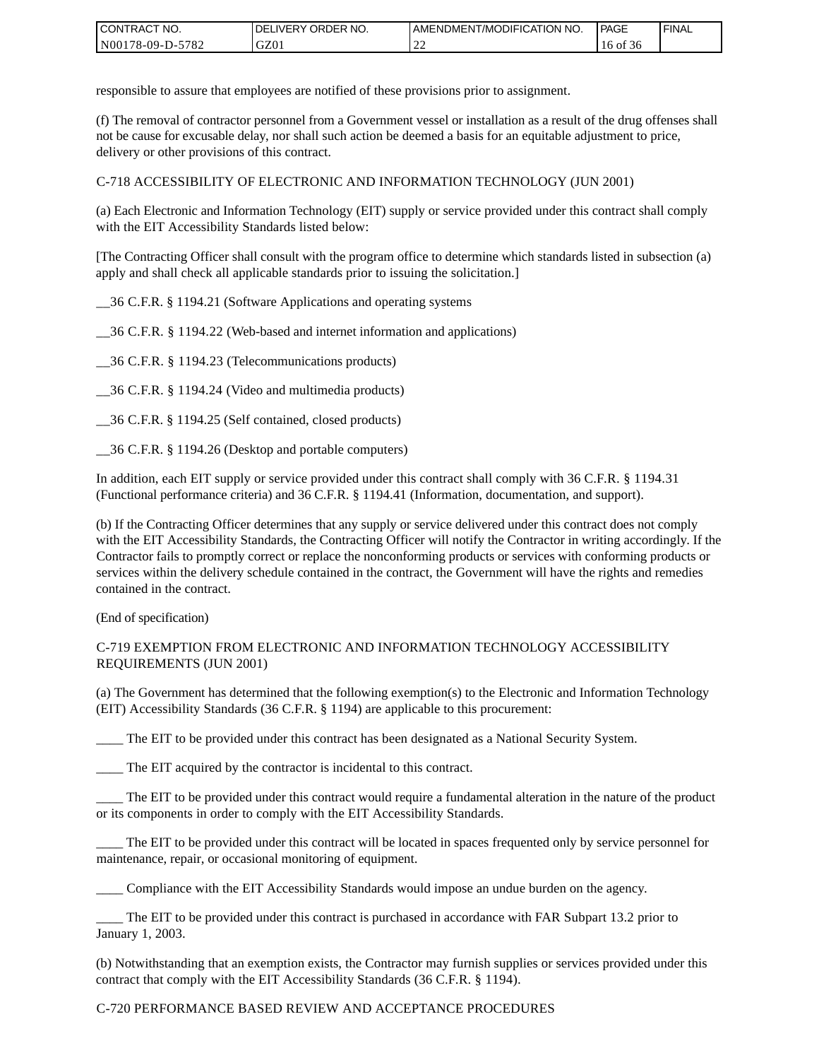| CONTRACT<br>°CT NO.      | NO.<br>' ORDER<br><b>DELIVERY</b> | AMENDMENT/MODIFICATION NO. | <b>PAGE</b>  | ' FINAL |
|--------------------------|-----------------------------------|----------------------------|--------------|---------|
| $-5782$<br>N00178-09-D-5 | GZ01                              | ∸                          | 16 of<br>-50 |         |

responsible to assure that employees are notified of these provisions prior to assignment.

(f) The removal of contractor personnel from a Government vessel or installation as a result of the drug offenses shall not be cause for excusable delay, nor shall such action be deemed a basis for an equitable adjustment to price, delivery or other provisions of this contract.

C-718 ACCESSIBILITY OF ELECTRONIC AND INFORMATION TECHNOLOGY (JUN 2001)

(a) Each Electronic and Information Technology (EIT) supply or service provided under this contract shall comply with the EIT Accessibility Standards listed below:

[The Contracting Officer shall consult with the program office to determine which standards listed in subsection (a) apply and shall check all applicable standards prior to issuing the solicitation.]

\_\_36 C.F.R. § 1194.21 (Software Applications and operating systems

\_\_36 C.F.R. § 1194.22 (Web-based and internet information and applications)

\_\_36 C.F.R. § 1194.23 (Telecommunications products)

\_\_36 C.F.R. § 1194.24 (Video and multimedia products)

\_\_36 C.F.R. § 1194.25 (Self contained, closed products)

\_\_36 C.F.R. § 1194.26 (Desktop and portable computers)

In addition, each EIT supply or service provided under this contract shall comply with 36 C.F.R. § 1194.31 (Functional performance criteria) and 36 C.F.R. § 1194.41 (Information, documentation, and support).

(b) If the Contracting Officer determines that any supply or service delivered under this contract does not comply with the EIT Accessibility Standards, the Contracting Officer will notify the Contractor in writing accordingly. If the Contractor fails to promptly correct or replace the nonconforming products or services with conforming products or services within the delivery schedule contained in the contract, the Government will have the rights and remedies contained in the contract.

(End of specification)

### C-719 EXEMPTION FROM ELECTRONIC AND INFORMATION TECHNOLOGY ACCESSIBILITY REQUIREMENTS (JUN 2001)

(a) The Government has determined that the following exemption(s) to the Electronic and Information Technology (EIT) Accessibility Standards (36 C.F.R. § 1194) are applicable to this procurement:

The EIT to be provided under this contract has been designated as a National Security System.

\_\_\_\_ The EIT acquired by the contractor is incidental to this contract.

\_\_\_\_ The EIT to be provided under this contract would require a fundamental alteration in the nature of the product or its components in order to comply with the EIT Accessibility Standards.

The EIT to be provided under this contract will be located in spaces frequented only by service personnel for maintenance, repair, or occasional monitoring of equipment.

\_\_\_\_ Compliance with the EIT Accessibility Standards would impose an undue burden on the agency.

\_\_\_\_ The EIT to be provided under this contract is purchased in accordance with FAR Subpart 13.2 prior to January 1, 2003.

(b) Notwithstanding that an exemption exists, the Contractor may furnish supplies or services provided under this contract that comply with the EIT Accessibility Standards (36 C.F.R. § 1194).

### C-720 PERFORMANCE BASED REVIEW AND ACCEPTANCE PROCEDURES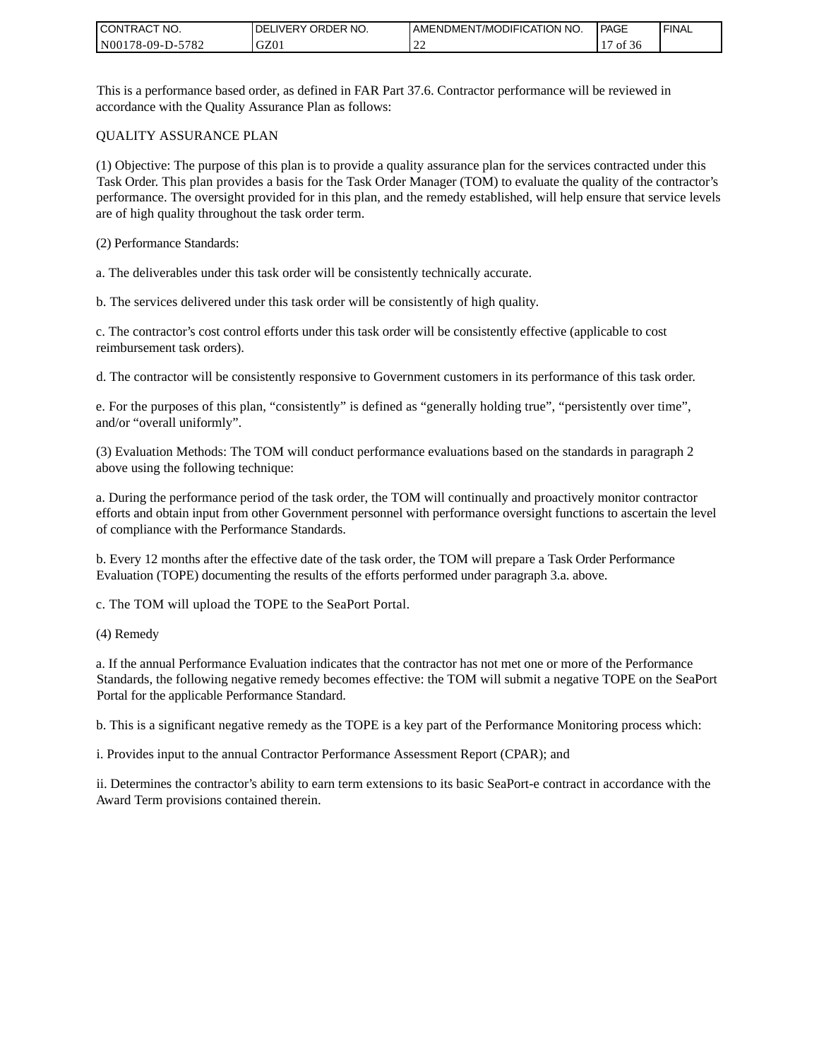| CONTRACT<br>°CT NO. | `NO.<br><b>DELIVERY ORDER</b> | AMENDMENT/MODIFICATION NO. | <b>PAGE</b> | ' FINAL |
|---------------------|-------------------------------|----------------------------|-------------|---------|
| N00178-09-D-5782    | GZ01                          | ∸                          | ΟĪ<br>20    |         |

This is a performance based order, as defined in FAR Part 37.6. Contractor performance will be reviewed in accordance with the Quality Assurance Plan as follows:

#### QUALITY ASSURANCE PLAN

(1) Objective: The purpose of this plan is to provide a quality assurance plan for the services contracted under this Task Order. This plan provides a basis for the Task Order Manager (TOM) to evaluate the quality of the contractor's performance. The oversight provided for in this plan, and the remedy established, will help ensure that service levels are of high quality throughout the task order term.

(2) Performance Standards:

a. The deliverables under this task order will be consistently technically accurate.

b. The services delivered under this task order will be consistently of high quality.

c. The contractor's cost control efforts under this task order will be consistently effective (applicable to cost reimbursement task orders).

d. The contractor will be consistently responsive to Government customers in its performance of this task order.

e. For the purposes of this plan, "consistently" is defined as "generally holding true", "persistently over time", and/or "overall uniformly".

(3) Evaluation Methods: The TOM will conduct performance evaluations based on the standards in paragraph 2 above using the following technique:

a. During the performance period of the task order, the TOM will continually and proactively monitor contractor efforts and obtain input from other Government personnel with performance oversight functions to ascertain the level of compliance with the Performance Standards.

b. Every 12 months after the effective date of the task order, the TOM will prepare a Task Order Performance Evaluation (TOPE) documenting the results of the efforts performed under paragraph 3.a. above.

c. The TOM will upload the TOPE to the SeaPort Portal.

(4) Remedy

a. If the annual Performance Evaluation indicates that the contractor has not met one or more of the Performance Standards, the following negative remedy becomes effective: the TOM will submit a negative TOPE on the SeaPort Portal for the applicable Performance Standard.

b. This is a significant negative remedy as the TOPE is a key part of the Performance Monitoring process which:

i. Provides input to the annual Contractor Performance Assessment Report (CPAR); and

ii. Determines the contractor's ability to earn term extensions to its basic SeaPort-e contract in accordance with the Award Term provisions contained therein.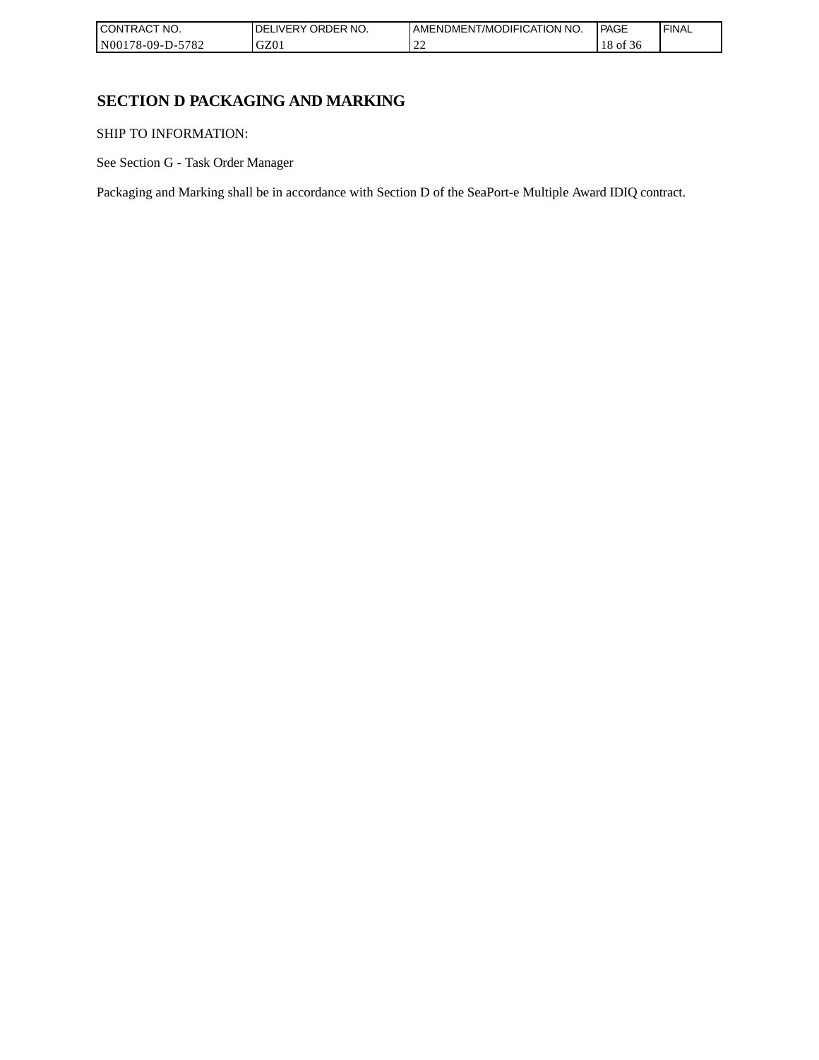| I CONTRACT NO.           | `NO.<br>ORDER<br>.IVERY<br>DELI | AMENDMENT/MODIFICATION NO. | <b>PAGE</b>  | 'FINAL |
|--------------------------|---------------------------------|----------------------------|--------------|--------|
| -5782<br>  N00178-09-D-5 | GZ0 <sub>1</sub>                | ∸                          | 18 of<br>-20 |        |

# **SECTION D PACKAGING AND MARKING**

SHIP TO INFORMATION:

See Section G - Task Order Manager

Packaging and Marking shall be in accordance with Section D of the SeaPort-e Multiple Award IDIQ contract.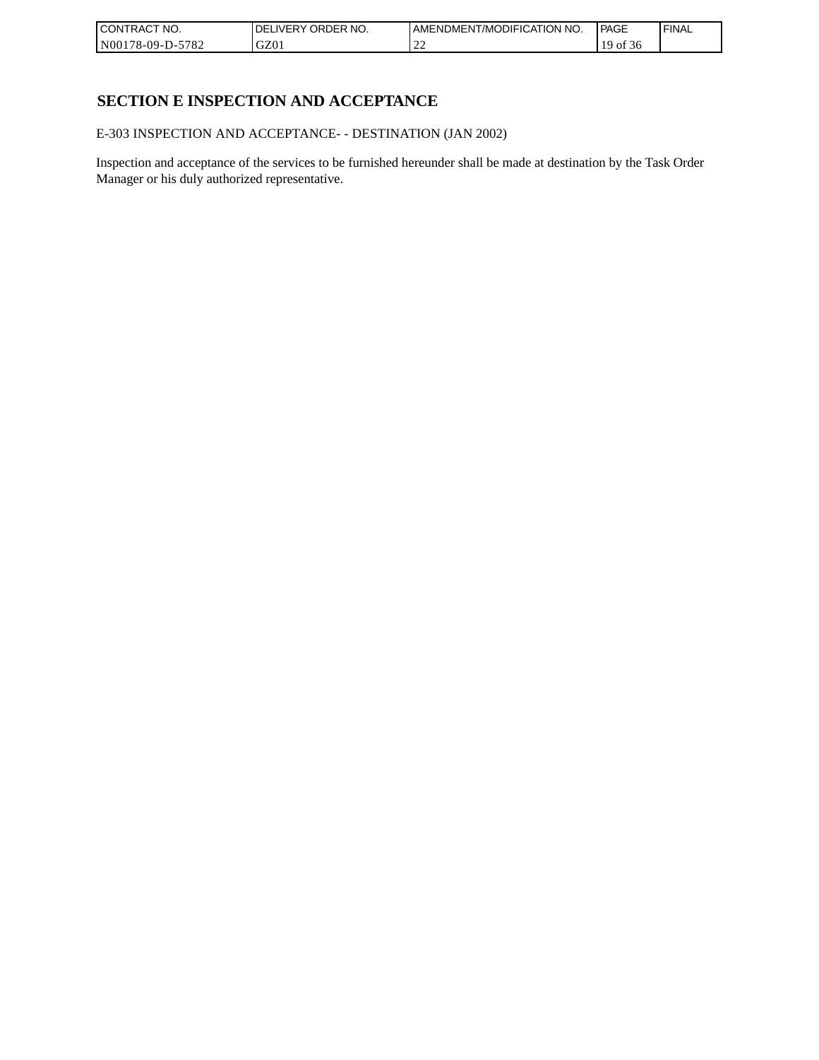| CONTRACT<br>`CT NO.      | `NO.<br>' ORDER<br><b>DELIVERY</b> | I AMENDMENT/MODIFICATION NO. | l PAGE     | 'FINAL |
|--------------------------|------------------------------------|------------------------------|------------|--------|
| $-5782$<br>N00178-09-D-5 | GZ01                               | ∸                            | ` OI<br>50 |        |

# **SECTION E INSPECTION AND ACCEPTANCE**

E-303 INSPECTION AND ACCEPTANCE- - DESTINATION (JAN 2002)

Inspection and acceptance of the services to be furnished hereunder shall be made at destination by the Task Order Manager or his duly authorized representative.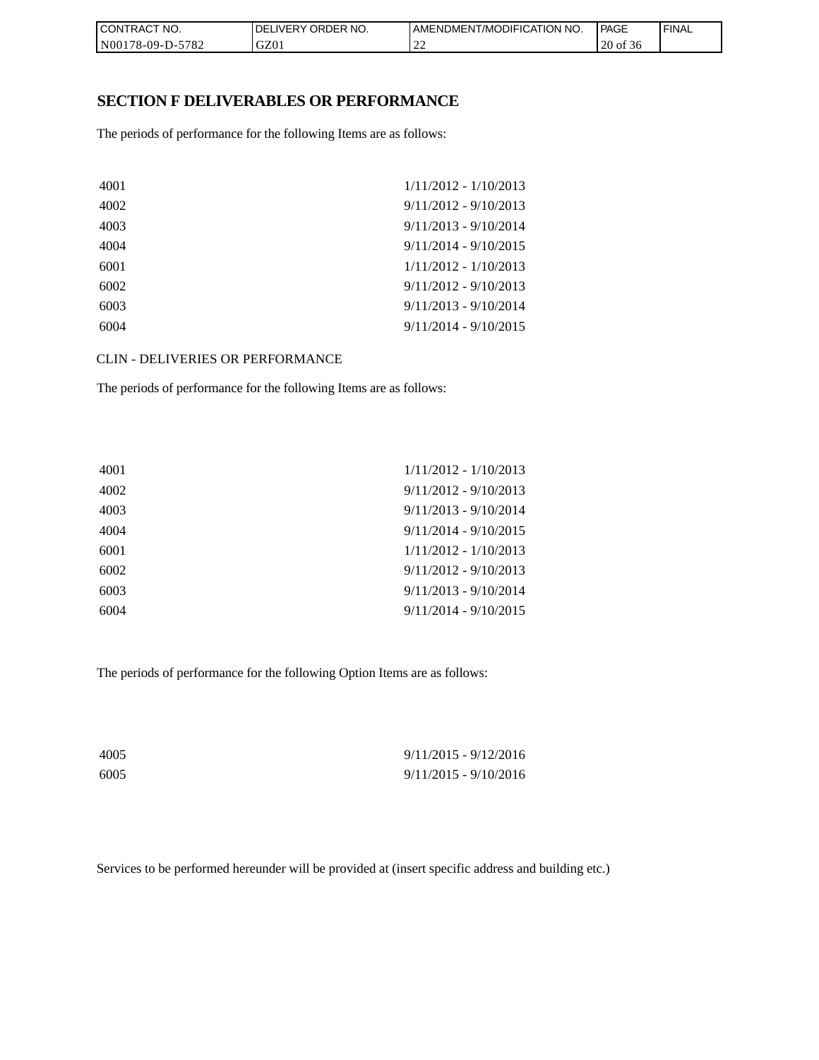| CON <sub>1</sub><br>TRACT NO. | NO.<br>' ORDER<br><b>DELIVERY</b> | I AMENDMENT/MODIFICATION NO. | <b>PAGE</b> | ' FINAL |
|-------------------------------|-----------------------------------|------------------------------|-------------|---------|
| N00178-09-D-5782              | GZ01                              | $\sim$<br>∸                  | 20 of 36    |         |

## **SECTION F DELIVERABLES OR PERFORMANCE**

The periods of performance for the following Items are as follows:

| 4001 | $1/11/2012 - 1/10/2013$ |
|------|-------------------------|
| 4002 | $9/11/2012 - 9/10/2013$ |
| 4003 | $9/11/2013 - 9/10/2014$ |
| 4004 | $9/11/2014 - 9/10/2015$ |
| 6001 | $1/11/2012 - 1/10/2013$ |
| 6002 | $9/11/2012 - 9/10/2013$ |
| 6003 | $9/11/2013 - 9/10/2014$ |
| 6004 | $9/11/2014 - 9/10/2015$ |

CLIN - DELIVERIES OR PERFORMANCE

The periods of performance for the following Items are as follows:

| $1/11/2012 - 1/10/2013$ |
|-------------------------|
| $9/11/2012 - 9/10/2013$ |
| $9/11/2013 - 9/10/2014$ |
| $9/11/2014 - 9/10/2015$ |
| $1/11/2012 - 1/10/2013$ |
| $9/11/2012 - 9/10/2013$ |
| $9/11/2013 - 9/10/2014$ |
| $9/11/2014 - 9/10/2015$ |
|                         |

The periods of performance for the following Option Items are as follows:

| 4005 | $9/11/2015 - 9/12/2016$ |
|------|-------------------------|
| 6005 | $9/11/2015 - 9/10/2016$ |

Services to be performed hereunder will be provided at (insert specific address and building etc.)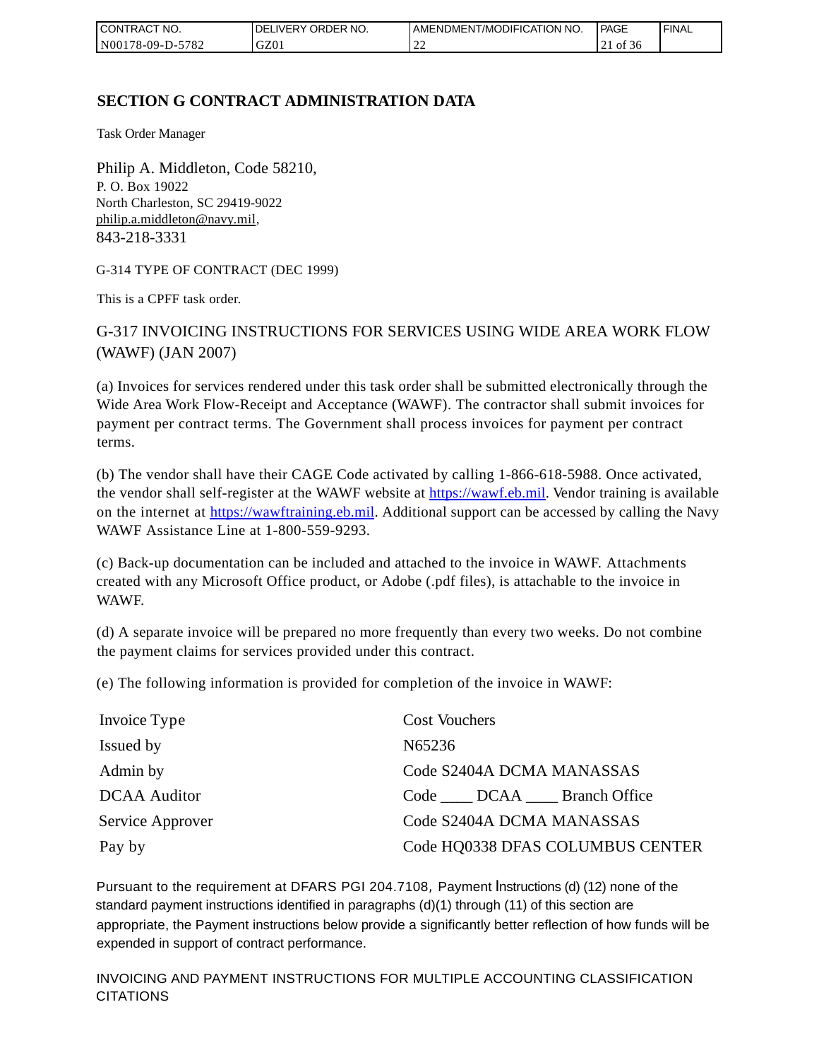| CONTRACT<br>°CT NO. | `NO.<br><b>DELIVERY ORDER</b> | AMENDMENT/MODIFICATION NO. | <b>PAGE</b>            | ' FINAL |
|---------------------|-------------------------------|----------------------------|------------------------|---------|
| N00178-09-D-5782    | GZ01                          | ∸                          | 0Ť<br>- 20<br>$\sim$ 1 |         |

# **SECTION G CONTRACT ADMINISTRATION DATA**

Task Order Manager

Philip A. Middleton, Code 58210, P. O. Box 19022 North Charleston, SC 29419-9022 [philip.a.middleton@navy.mil,](mailto:cphilip.a.middleton@navy.mil) 843-218-3331

G-314 TYPE OF CONTRACT (DEC 1999)

This is a CPFF task order.

G-317 INVOICING INSTRUCTIONS FOR SERVICES USING WIDE AREA WORK FLOW (WAWF) (JAN 2007)

(a) Invoices for services rendered under this task order shall be submitted electronically through the Wide Area Work Flow-Receipt and Acceptance (WAWF). The contractor shall submit invoices for payment per contract terms. The Government shall process invoices for payment per contract terms.

(b) The vendor shall have their CAGE Code activated by calling 1-866-618-5988. Once activated, the vendor shall self-register at the WAWF website at [https://wawf.eb.mil.](https://wawf.eb.mil/) Vendor training is available on the internet at [https://wawftraining.eb.mil.](https://wawftraining.eb.mil/) Additional support can be accessed by calling the Navy WAWF Assistance Line at 1-800-559-9293.

(c) Back-up documentation can be included and attached to the invoice in WAWF. Attachments created with any Microsoft Office product, or Adobe (.pdf files), is attachable to the invoice in WAWF.

(d) A separate invoice will be prepared no more frequently than every two weeks. Do not combine the payment claims for services provided under this contract.

(e) The following information is provided for completion of the invoice in WAWF:

| Invoice Type        | <b>Cost Vouchers</b>             |
|---------------------|----------------------------------|
| Issued by           | N65236                           |
| Admin by            | Code S2404A DCMA MANASSAS        |
| <b>DCAA</b> Auditor | Code DCAA Branch Office          |
| Service Approver    | Code S2404A DCMA MANASSAS        |
| Pay by              | Code HQ0338 DFAS COLUMBUS CENTER |

Pursuant to the requirement at DFARS PGI 204.7108, Payment Instructions (d) (12) none of the standard payment instructions identified in paragraphs (d)(1) through (11) of this section are appropriate, the Payment instructions below provide a significantly better reflection of how funds will be expended in support of contract performance.

INVOICING AND PAYMENT INSTRUCTIONS FOR MULTIPLE ACCOUNTING CLASSIFICATION CITATIONS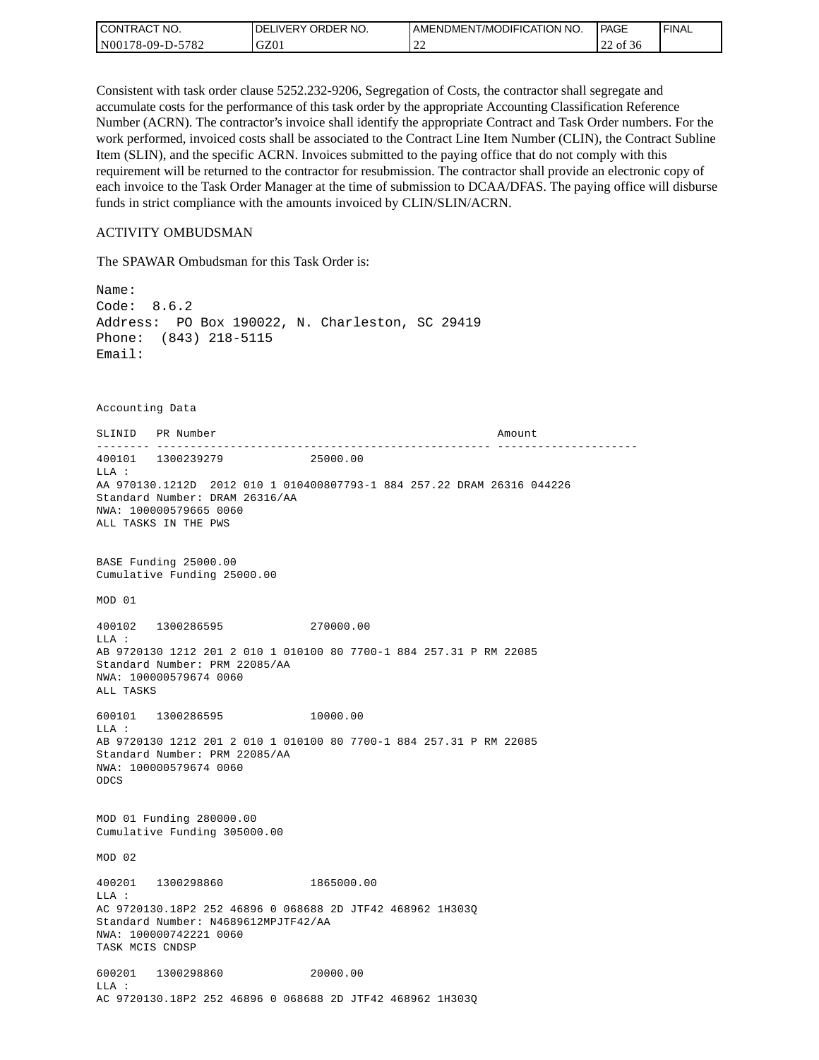| CONTRACT NO.     | DELIVERY ORDER NO. | AMENDMENT/MODIFICATION NO. | PAGE  | ' FINAL |
|------------------|--------------------|----------------------------|-------|---------|
| N00178-09-D-5782 | GZ01               | ∸∸                         | of 36 |         |

Consistent with task order clause 5252.232-9206, Segregation of Costs, the contractor shall segregate and accumulate costs for the performance of this task order by the appropriate Accounting Classification Reference Number (ACRN). The contractor's invoice shall identify the appropriate Contract and Task Order numbers. For the work performed, invoiced costs shall be associated to the Contract Line Item Number (CLIN), the Contract Subline Item (SLIN), and the specific ACRN. Invoices submitted to the paying office that do not comply with this requirement will be returned to the contractor for resubmission. The contractor shall provide an electronic copy of each invoice to the Task Order Manager at the time of submission to DCAA/DFAS. The paying office will disburse funds in strict compliance with the amounts invoiced by CLIN/SLIN/ACRN.

#### ACTIVITY OMBUDSMAN

The SPAWAR Ombudsman for this Task Order is:

Name: Code: 8.6.2 Address: PO Box 190022, N. Charleston, SC 29419 Phone: (843) 218-5115 Email: Accounting Data SLINID PR Number **Amount** -------- -------------------------------------------------- --------------------- 400101 1300239279 25000.00 LLA : AA 970130.1212D 2012 010 1 010400807793-1 884 257.22 DRAM 26316 044226 Standard Number: DRAM 26316/AA NWA: 100000579665 0060 ALL TASKS IN THE PWS BASE Funding 25000.00 Cumulative Funding 25000.00 MOD 01 400102 1300286595 270000.00 LLA : AB 9720130 1212 201 2 010 1 010100 80 7700-1 884 257.31 P RM 22085 Standard Number: PRM 22085/AA NWA: 100000579674 0060 ALL TASKS 600101 1300286595 10000.00 LLA : AB 9720130 1212 201 2 010 1 010100 80 7700-1 884 257.31 P RM 22085 Standard Number: PRM 22085/AA NWA: 100000579674 0060 ODCS MOD 01 Funding 280000.00 Cumulative Funding 305000.00 MOD 02 400201 1300298860 1865000.00  $T.T.A$  : AC 9720130.18P2 252 46896 0 068688 2D JTF42 468962 1H303Q Standard Number: N4689612MPJTF42/AA NWA: 100000742221 0060 TASK MCIS CNDSP 600201 1300298860 20000.00 LLA : AC 9720130.18P2 252 46896 0 068688 2D JTF42 468962 1H303Q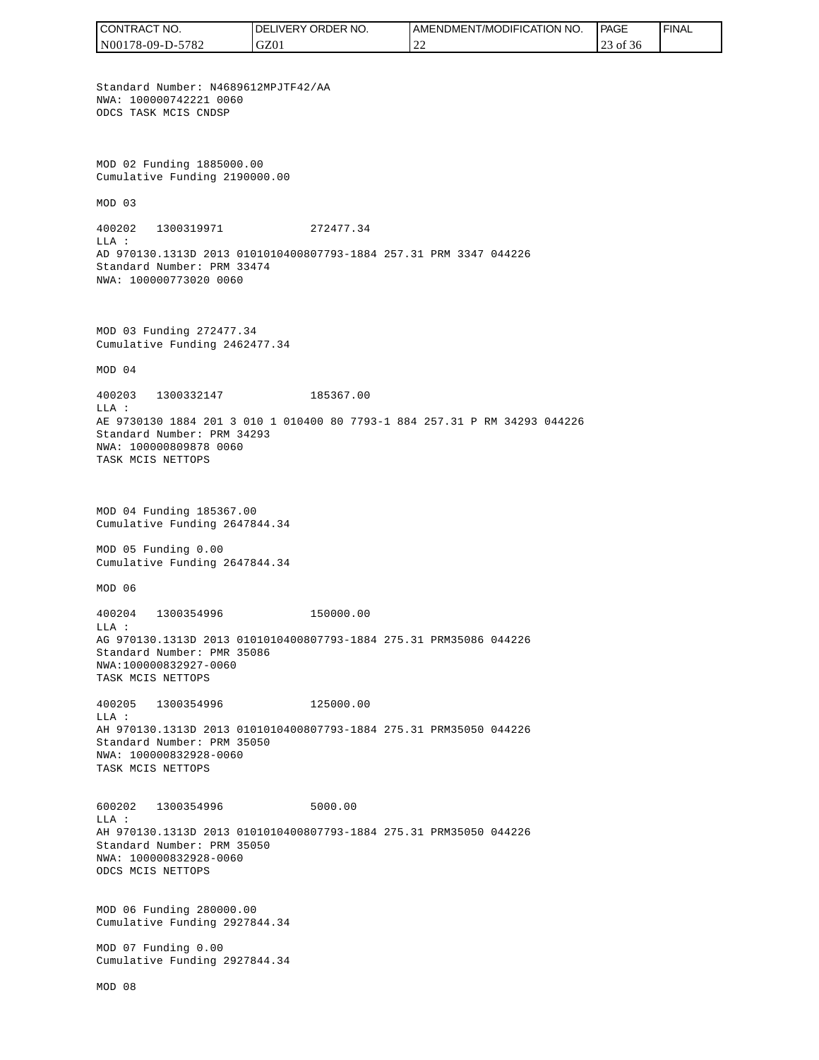CONTRACT NO. DELIVERY ORDER NO. AMENDMENT/MODIFICATION NO. **PAGE**  FINALCONTRACT NO.<br>NO0178-09-D-5<br>Standard Numb<br>NMA: 10000074<br>ODCS TASK MCI<br>ODCS TASK MCI<br>NMA: 10000074<br>ODCS TASK MCI<br>Cumulative Fu<br>MOD 03<br>400202 1300<br>LLA:<br>AD 970130.131<br>Standard Numb<br>NMA: 10000080<br>TASK MCIS NET<br>NMA: 10000808<br>TAS N00178-09-D-5782 GZ01 22 23 of 36 Standard Number: N4689612MPJTF42/AA NWA: 100000742221 0060 ODCS TASK MCIS CNDSP MOD 02 Funding 1885000.00 Cumulative Funding 2190000.00 MOD 03 400202 1300319971 272477.34  $T.T.A$  : AD 970130.1313D 2013 0101010400807793-1884 257.31 PRM 3347 044226 Standard Number: PRM 33474 NWA: 100000773020 0060 MOD 03 Funding 272477.34 Cumulative Funding 2462477.34 MOD 04 400203 1300332147 185367.00 LLA : AE 9730130 1884 201 3 010 1 010400 80 7793-1 884 257.31 P RM 34293 044226 Standard Number: PRM 34293 NWA: 100000809878 0060 TASK MCIS NETTOPS MOD 04 Funding 185367.00 Cumulative Funding 2647844.34 MOD 05 Funding 0.00 Cumulative Funding 2647844.34 MOD 06 400204 1300354996 150000.00  $T.T.A$  : AG 970130.1313D 2013 0101010400807793-1884 275.31 PRM35086 044226 Standard Number: PMR 35086 NWA:100000832927-0060 TASK MCIS NETTOPS 400205 1300354996 125000.00 LLA : AH 970130.1313D 2013 0101010400807793-1884 275.31 PRM35050 044226 Standard Number: PRM 35050 NWA: 100000832928-0060 TASK MCIS NETTOPS 600202 1300354996 5000.00 LLA : AH 970130.1313D 2013 0101010400807793-1884 275.31 PRM35050 044226 Standard Number: PRM 35050 NWA: 100000832928-0060 ODCS MCIS NETTOPS MOD 06 Funding 280000.00 Cumulative Funding 2927844.34 MOD 07 Funding 0.00 Cumulative Funding 2927844.34 MOD 08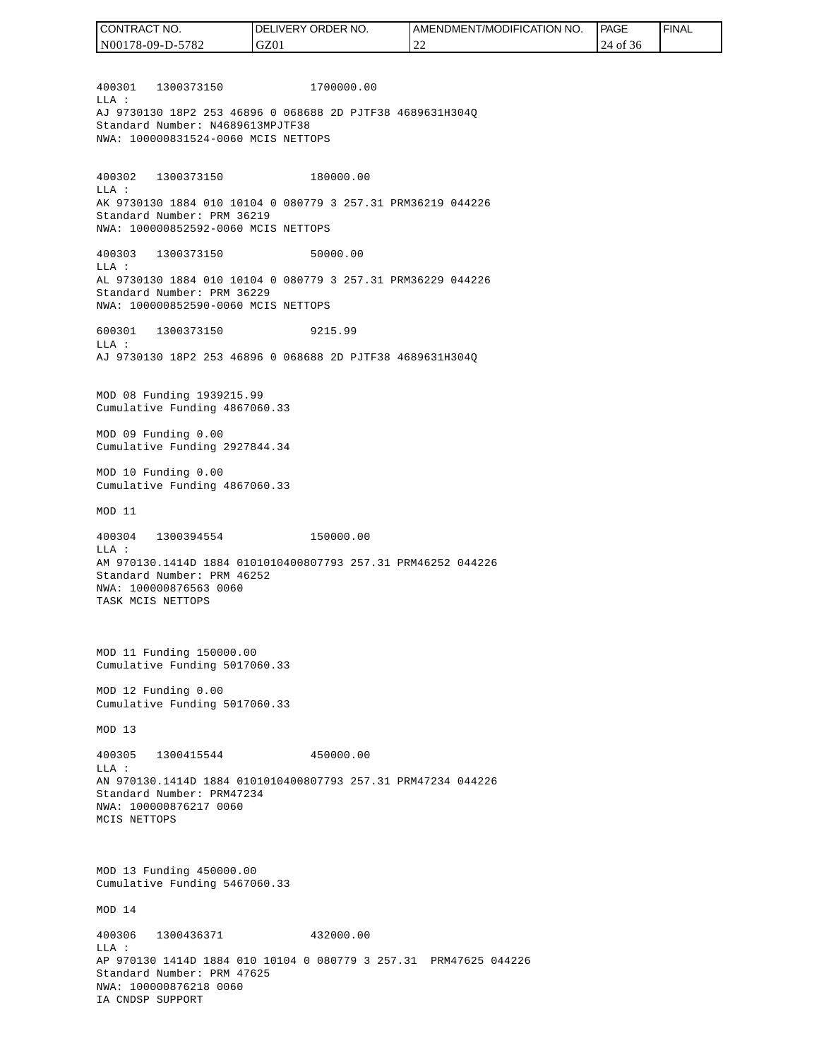400301 1300373150 1700000.00  $T.T.A$  : AJ 9730130 18P2 253 46896 0 068688 2D PJTF38 4689631H304Q Standard Number: N4689613MPJTF38 NWA: 100000831524-0060 MCIS NETTOPS 400302 1300373150 180000.00 LLA : AK 9730130 1884 010 10104 0 080779 3 257.31 PRM36219 044226 Standard Number: PRM 36219 NWA: 100000852592-0060 MCIS NETTOPS 400303 1300373150 50000.00 LLA : AL 9730130 1884 010 10104 0 080779 3 257.31 PRM36229 044226 Standard Number: PRM 36229 NWA: 100000852590-0060 MCIS NETTOPS 600301 1300373150 9215.99  $T.T.A$  : AJ 9730130 18P2 253 46896 0 068688 2D PJTF38 4689631H304Q MOD 08 Funding 1939215.99 Cumulative Funding 4867060.33 MOD 09 Funding 0.00 Cumulative Funding 2927844.34 MOD 10 Funding 0.00 Cumulative Funding 4867060.33 MOD 11 400304 1300394554 150000.00 LLA : AM 970130.1414D 1884 0101010400807793 257.31 PRM46252 044226 Standard Number: PRM 46252 NWA: 100000876563 0060 TASK MCIS NETTOPS MOD 11 Funding 150000.00 Cumulative Funding 5017060.33 MOD 12 Funding 0.00 Cumulative Funding 5017060.33 MOD 13 400305 1300415544 450000.00  $T.T.A$  : AN 970130.1414D 1884 0101010400807793 257.31 PRM47234 044226 Standard Number: PRM47234 NWA: 100000876217 0060 MCIS NETTOPS MOD 13 Funding 450000.00 Cumulative Funding 5467060.33 MOD 14 400306 1300436371 432000.00  $L.L.A$  : AP 970130 1414D 1884 010 10104 0 080779 3 257.31 PRM47625 044226 Standard Number: PRM 47625 NWA: 100000876218 0060 IA CNDSP SUPPORT CONTRACT NO. N00178-09-D-5782 DELIVERY ORDER NO. GZ01 AMENDMENT/MODIFICATION NO. 22 **PAGE**  24 of 36 FINAL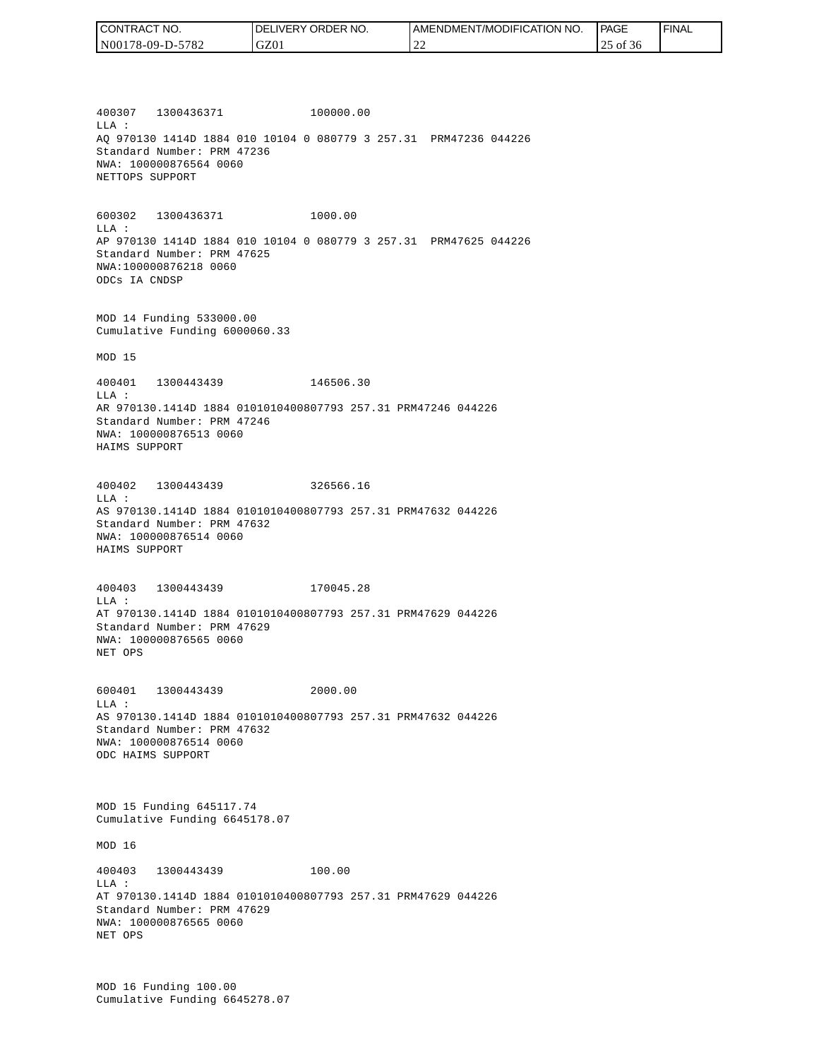| CONTRACT NO.     | <b>IDELIVERY ORDER NO.</b> | I AMENDMENT/MODIFICATION NO. | PAGE        | ' FINAL |
|------------------|----------------------------|------------------------------|-------------|---------|
| N00178-09-D-5782 | GZ01                       | $\bigcap$<br>-44             | of 36<br>ر_ |         |

400307 1300436371 100000.00 LLA : AQ 970130 1414D 1884 010 10104 0 080779 3 257.31 PRM47236 044226 Standard Number: PRM 47236 NWA: 100000876564 0060 NETTOPS SUPPORT

600302 1300436371 1000.00 LLA : AP 970130 1414D 1884 010 10104 0 080779 3 257.31 PRM47625 044226 Standard Number: PRM 47625 NWA:100000876218 0060 ODCs IA CNDSP

MOD 14 Funding 533000.00 Cumulative Funding 6000060.33

MOD 15

400401 1300443439 146506.30 LLA : AR 970130.1414D 1884 0101010400807793 257.31 PRM47246 044226 Standard Number: PRM 47246 NWA: 100000876513 0060 HAIMS SUPPORT

400402 1300443439 326566.16 LLA : AS 970130.1414D 1884 0101010400807793 257.31 PRM47632 044226 Standard Number: PRM 47632 NWA: 100000876514 0060 HAIMS SUPPORT

400403 1300443439 170045.28 LLA : AT 970130.1414D 1884 0101010400807793 257.31 PRM47629 044226 Standard Number: PRM 47629 NWA: 100000876565 0060 NET OPS

600401 1300443439 2000.00  $L.L.A$  : AS 970130.1414D 1884 0101010400807793 257.31 PRM47632 044226 Standard Number: PRM 47632 NWA: 100000876514 0060 ODC HAIMS SUPPORT

MOD 15 Funding 645117.74 Cumulative Funding 6645178.07

MOD 16

400403 1300443439 100.00 LLA : AT 970130.1414D 1884 0101010400807793 257.31 PRM47629 044226 Standard Number: PRM 47629 NWA: 100000876565 0060 NET OPS

MOD 16 Funding 100.00 Cumulative Funding 6645278.07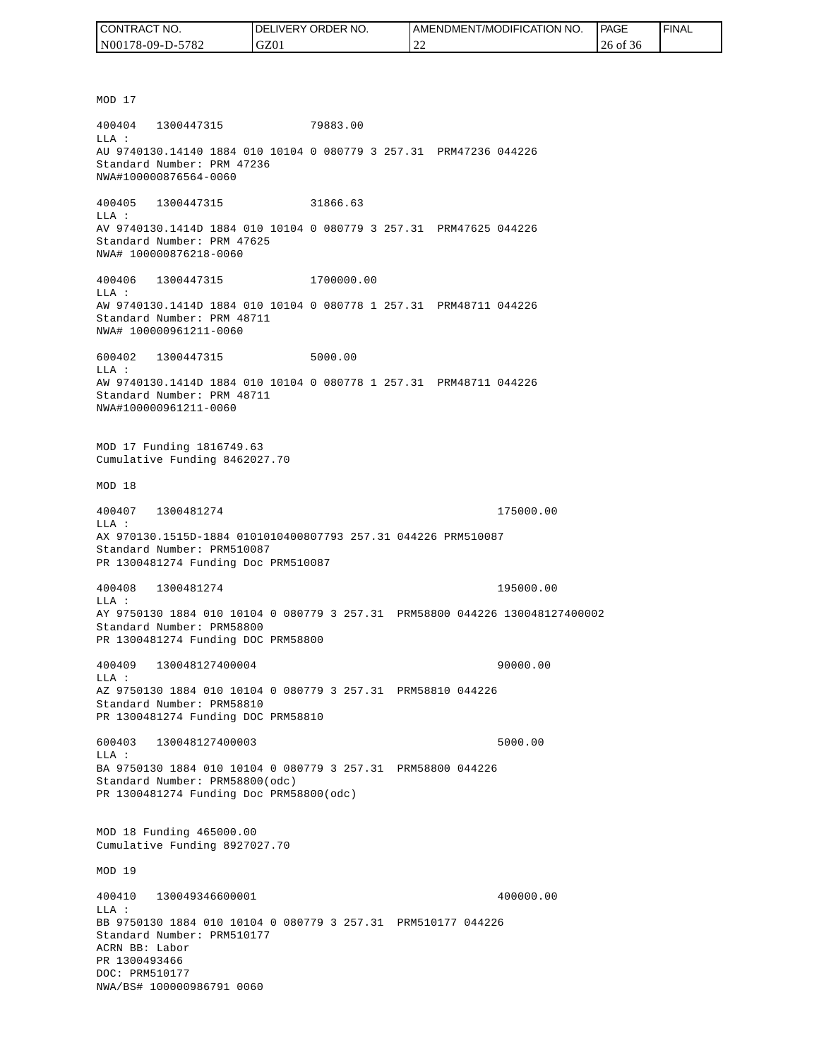| TRACT NO.<br>CON.        | NO.<br><b>DELIVERY ORDER</b> | AMENDMENT/MODIFICATION NO.         | <b>PAGE</b> | ' FINAL |
|--------------------------|------------------------------|------------------------------------|-------------|---------|
| -5782<br>  N00178-09-D-: | GZ01                         | $\sim$<br>$\overline{\phantom{a}}$ | 26 of 36    |         |

MOD 17 400404 1300447315 79883.00 LLA : AU 9740130.14140 1884 010 10104 0 080779 3 257.31 PRM47236 044226 Standard Number: PRM 47236 NWA#100000876564-0060 400405 1300447315 31866.63 LLA : AV 9740130.1414D 1884 010 10104 0 080779 3 257.31 PRM47625 044226 Standard Number: PRM 47625 NWA# 100000876218-0060 400406 1300447315 1700000.00 LLA : AW 9740130.1414D 1884 010 10104 0 080778 1 257.31 PRM48711 044226 Standard Number: PRM 48711 NWA# 100000961211-0060 600402 1300447315 5000.00 LLA : AW 9740130.1414D 1884 010 10104 0 080778 1 257.31 PRM48711 044226 Standard Number: PRM 48711 NWA#100000961211-0060 MOD 17 Funding 1816749.63 Cumulative Funding 8462027.70 MOD 18 400407 1300481274 175000.00 LLA : AX 970130.1515D-1884 0101010400807793 257.31 044226 PRM510087 Standard Number: PRM510087 PR 1300481274 Funding Doc PRM510087 400408 1300481274 195000.00 LLA : AY 9750130 1884 010 10104 0 080779 3 257.31 PRM58800 044226 130048127400002 Standard Number: PRM58800 PR 1300481274 Funding DOC PRM58800 400409 130048127400004 90000.00 LLA : AZ 9750130 1884 010 10104 0 080779 3 257.31 PRM58810 044226 Standard Number: PRM58810 PR 1300481274 Funding DOC PRM58810 600403 130048127400003 5000.00  $L.L.A$  : BA 9750130 1884 010 10104 0 080779 3 257.31 PRM58800 044226 Standard Number: PRM58800(odc) PR 1300481274 Funding Doc PRM58800(odc) MOD 18 Funding 465000.00 Cumulative Funding 8927027.70 MOD 19 400410 130049346600001 400000.00 LLA : BB 9750130 1884 010 10104 0 080779 3 257.31 PRM510177 044226 Standard Number: PRM510177 ACRN BB: Labor PR 1300493466 DOC: PRM510177<br>NWA/BS# 100000986791 0060 (CONTRACT NO. 1986)<br>
NO0178-09-D-5782<br>
NO0178-09-D-5782<br>
MDB10<br>
NOD 17<br>
400404 1300447315<br>
NAJ 9740130.14140 1884 010<br>
Standard Number: PRM 47236<br>
NWA#100000876564-0060<br>
10405 1300447315<br>
Standard Number: PRM 47625<br>
NAJ 97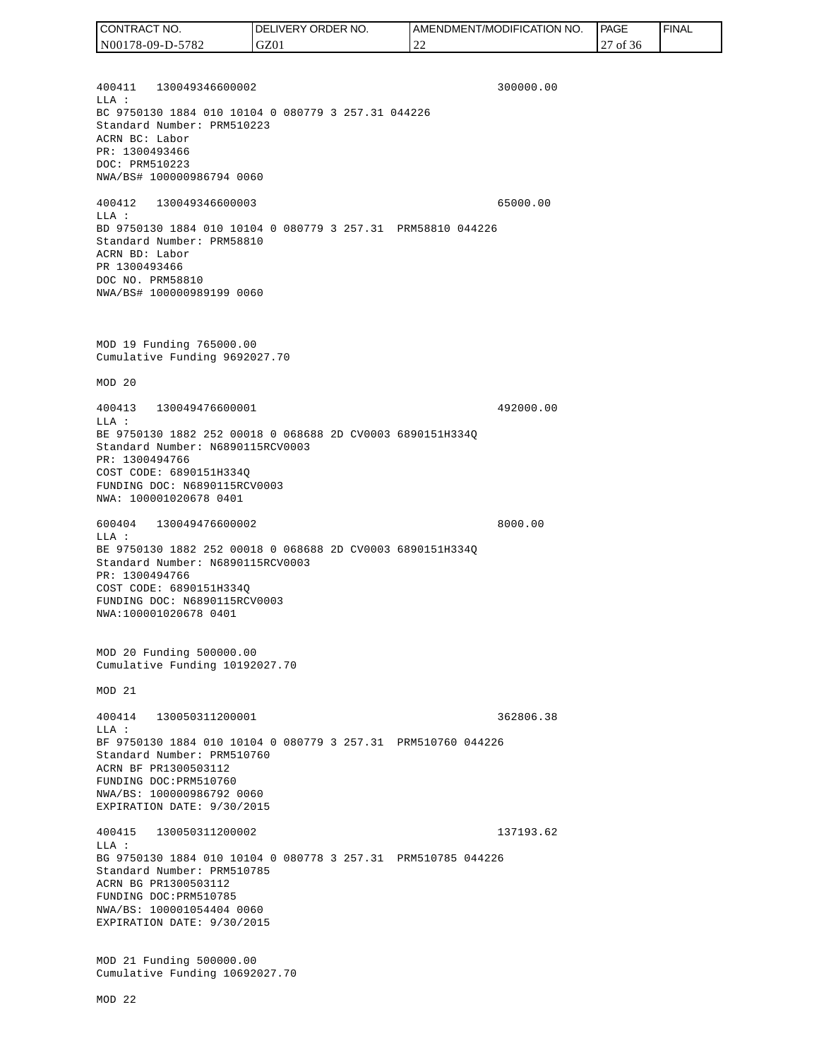400411 130049346600002 300000.00  $T.T.A$  : BC 9750130 1884 010 10104 0 080779 3 257.31 044226 Standard Number: PRM510223 ACRN BC: Labor PR: 1300493466 DOC: PRM510223 NWA/BS# 100000986794 0060 400412 130049346600003 65000.00 LLA : BD 9750130 1884 010 10104 0 080779 3 257.31 PRM58810 044226 Standard Number: PRM58810 ACRN BD: Labor PR 1300493466 DOC NO. PRM58810 NWA/BS# 100000989199 0060 MOD 19 Funding 765000.00 Cumulative Funding 9692027.70 MOD 20 400413 130049476600001 492000.00 LLA : BE 9750130 1882 252 00018 0 068688 2D CV0003 6890151H334Q Standard Number: N6890115RCV0003 PR: 1300494766 COST CODE: 6890151H334Q FUNDING DOC: N6890115RCV0003 NWA: 100001020678 0401 600404 130049476600002 8000.00 LLA : BE 9750130 1882 252 00018 0 068688 2D CV0003 6890151H334Q Standard Number: N6890115RCV0003 PR: 1300494766 COST CODE: 6890151H334Q FUNDING DOC: N6890115RCV0003 NWA:100001020678 0401 MOD 20 Funding 500000.00 Cumulative Funding 10192027.70 MOD 21 400414 130050311200001 362806.38  $T.T.A$  : BF 9750130 1884 010 10104 0 080779 3 257.31 PRM510760 044226 Standard Number: PRM510760 ACRN BF PR1300503112 FUNDING DOC:PRM510760 NWA/BS: 100000986792 0060 EXPIRATION DATE: 9/30/2015 400415 130050311200002 137193.62 LLA : BG 9750130 1884 010 10104 0 080778 3 257.31 PRM510785 044226 Standard Number: PRM510785 ACRN BG PR1300503112 FUNDING DOC:PRM510785 NWA/BS: 100001054404 0060 EXPIRATION DATE: 9/30/2015 MOD 21 Funding 500000.00 Cumulative Funding 10692027.70 MOD 22 CONTRACT NO. N00178-09-D-5782 DELIVERY ORDER NO. GZ01 AMENDMENT/MODIFICATION NO. 22 **PAGE**  27 of 36 FINAL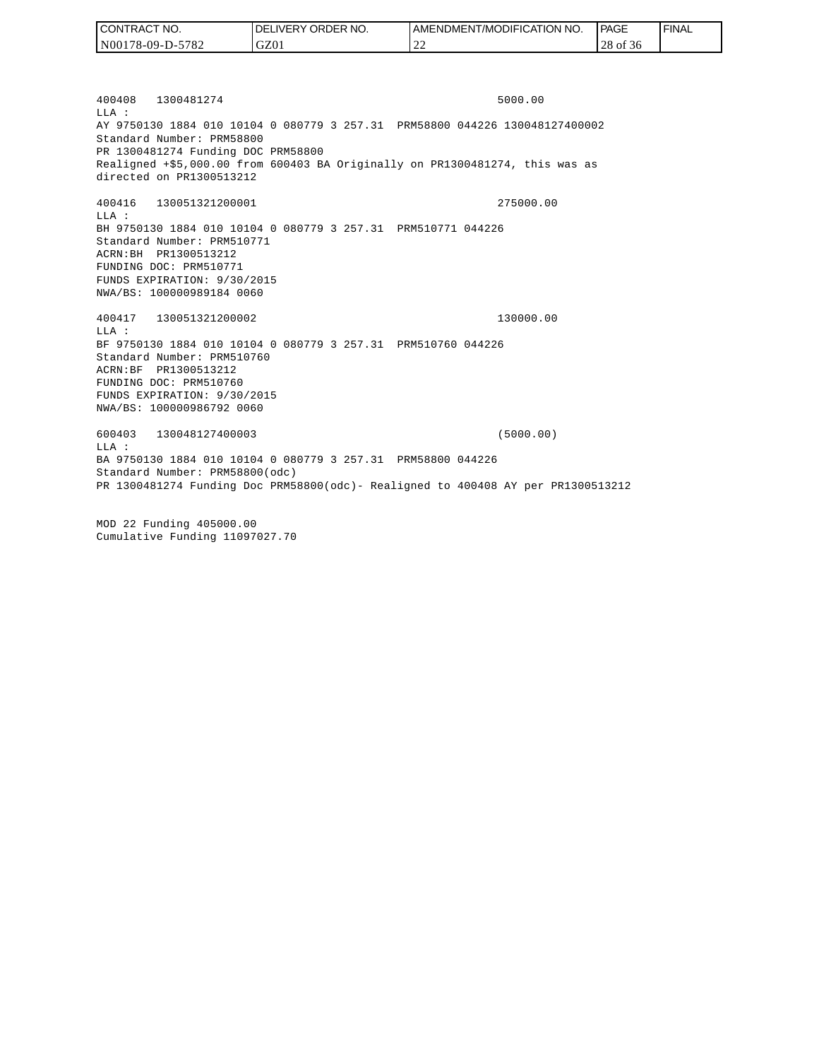| TRACT NO.<br><b>CON</b> | NO.<br>' ORDER<br><b>DELIVERY</b> | AMENDMENT/MODIFICATION NO. | PAGE           | ' FINAL |
|-------------------------|-----------------------------------|----------------------------|----------------|---------|
| 5782<br>  N00178-09-D-5 | GZ01                              | --                         | 28<br>ОI<br>50 |         |

400408 1300481274 5000.00 LLA : AY 9750130 1884 010 10104 0 080779 3 257.31 PRM58800 044226 130048127400002 Standard Number: PRM58800 PR 1300481274 Funding DOC PRM58800 Realigned +\$5,000.00 from 600403 BA Originally on PR1300481274, this was as directed on PR1300513212

400416 130051321200001 275000.00 LLA : BH 9750130 1884 010 10104 0 080779 3 257.31 PRM510771 044226 Standard Number: PRM510771 ACRN:BH PR1300513212 FUNDING DOC: PRM510771 FUNDS EXPIRATION: 9/30/2015 NWA/BS: 100000989184 0060

400417 130051321200002 130000.00 LLA : BF 9750130 1884 010 10104 0 080779 3 257.31 PRM510760 044226 Standard Number: PRM510760 ACRN:BF PR1300513212 FUNDING DOC: PRM510760 FUNDS EXPIRATION: 9/30/2015 NWA/BS: 100000986792 0060

600403 130048127400003 (5000.00) LLA : BA 9750130 1884 010 10104 0 080779 3 257.31 PRM58800 044226 Standard Number: PRM58800(odc) PR 1300481274 Funding Doc PRM58800(odc)- Realigned to 400408 AY per PR1300513212

MOD 22 Funding 405000.00 Cumulative Funding 11097027.70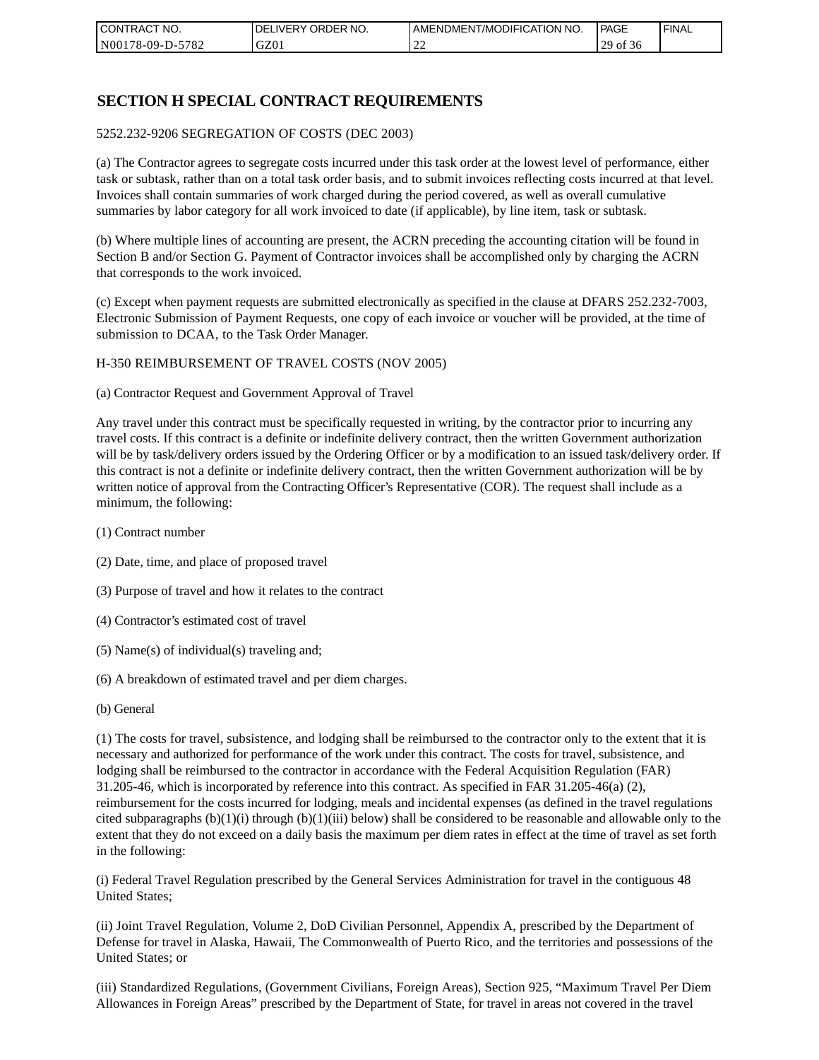| I CONTRACT NO.   | NO.<br>DELIVERY ORDER | AMENDMENT/MODIFICATION NO. | PAGE                     | ' FINAL |
|------------------|-----------------------|----------------------------|--------------------------|---------|
| N00178-09-D-5782 | GZ01                  | --                         | 20<br>` Oİ<br>-56<br>ر ت |         |

# **SECTION H SPECIAL CONTRACT REQUIREMENTS**

#### 5252.232-9206 SEGREGATION OF COSTS (DEC 2003)

(a) The Contractor agrees to segregate costs incurred under this task order at the lowest level of performance, either task or subtask, rather than on a total task order basis, and to submit invoices reflecting costs incurred at that level. Invoices shall contain summaries of work charged during the period covered, as well as overall cumulative summaries by labor category for all work invoiced to date (if applicable), by line item, task or subtask.

(b) Where multiple lines of accounting are present, the ACRN preceding the accounting citation will be found in Section B and/or Section G. Payment of Contractor invoices shall be accomplished only by charging the ACRN that corresponds to the work invoiced.

(c) Except when payment requests are submitted electronically as specified in the clause at DFARS 252.232-7003, Electronic Submission of Payment Requests, one copy of each invoice or voucher will be provided, at the time of submission to DCAA, to the Task Order Manager.

#### H-350 REIMBURSEMENT OF TRAVEL COSTS (NOV 2005)

(a) Contractor Request and Government Approval of Travel

Any travel under this contract must be specifically requested in writing, by the contractor prior to incurring any travel costs. If this contract is a definite or indefinite delivery contract, then the written Government authorization will be by task/delivery orders issued by the Ordering Officer or by a modification to an issued task/delivery order. If this contract is not a definite or indefinite delivery contract, then the written Government authorization will be by written notice of approval from the Contracting Officer's Representative (COR). The request shall include as a minimum, the following:

- (1) Contract number
- (2) Date, time, and place of proposed travel
- (3) Purpose of travel and how it relates to the contract
- (4) Contractor's estimated cost of travel
- (5) Name(s) of individual(s) traveling and;
- (6) A breakdown of estimated travel and per diem charges.
- (b) General

(1) The costs for travel, subsistence, and lodging shall be reimbursed to the contractor only to the extent that it is necessary and authorized for performance of the work under this contract. The costs for travel, subsistence, and lodging shall be reimbursed to the contractor in accordance with the Federal Acquisition Regulation (FAR) 31.205-46, which is incorporated by reference into this contract. As specified in FAR 31.205-46(a) (2), reimbursement for the costs incurred for lodging, meals and incidental expenses (as defined in the travel regulations cited subparagraphs  $(b)(1)(i)$  through  $(b)(1)(iii)$  below) shall be considered to be reasonable and allowable only to the extent that they do not exceed on a daily basis the maximum per diem rates in effect at the time of travel as set forth in the following:

(i) Federal Travel Regulation prescribed by the General Services Administration for travel in the contiguous 48 United States;

(ii) Joint Travel Regulation, Volume 2, DoD Civilian Personnel, Appendix A, prescribed by the Department of Defense for travel in Alaska, Hawaii, The Commonwealth of Puerto Rico, and the territories and possessions of the United States; or

(iii) Standardized Regulations, (Government Civilians, Foreign Areas), Section 925, "Maximum Travel Per Diem Allowances in Foreign Areas" prescribed by the Department of State, for travel in areas not covered in the travel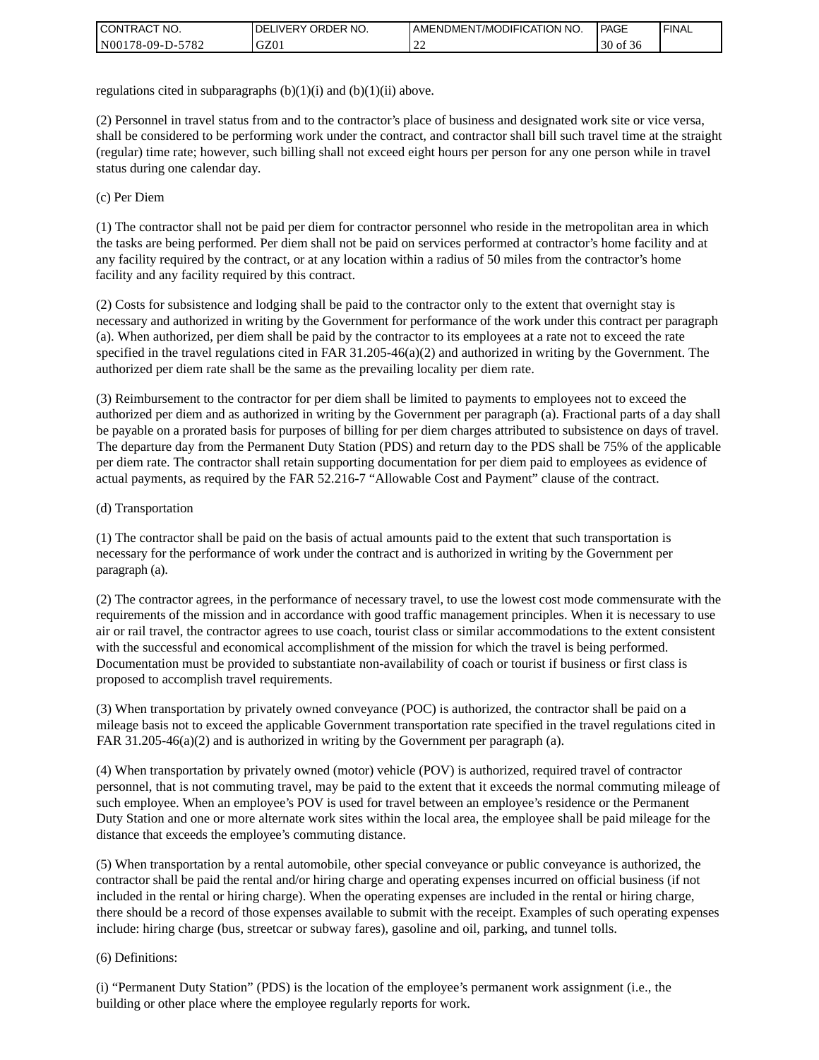| <b>CONTRACT</b><br>`CT NO. | `NO.<br><b>DELIVERY ORDER</b> | AMENDMENT/MODIFICATION NO. | <b>PAGE</b>    | ' FINAL |
|----------------------------|-------------------------------|----------------------------|----------------|---------|
| N00178-09-D-5782           | GZ01                          | ∸                          | $30$ of<br>-50 |         |

regulations cited in subparagraphs  $(b)(1)(i)$  and  $(b)(1)(ii)$  above.

(2) Personnel in travel status from and to the contractor's place of business and designated work site or vice versa, shall be considered to be performing work under the contract, and contractor shall bill such travel time at the straight (regular) time rate; however, such billing shall not exceed eight hours per person for any one person while in travel status during one calendar day.

(c) Per Diem

(1) The contractor shall not be paid per diem for contractor personnel who reside in the metropolitan area in which the tasks are being performed. Per diem shall not be paid on services performed at contractor's home facility and at any facility required by the contract, or at any location within a radius of 50 miles from the contractor's home facility and any facility required by this contract.

(2) Costs for subsistence and lodging shall be paid to the contractor only to the extent that overnight stay is necessary and authorized in writing by the Government for performance of the work under this contract per paragraph (a). When authorized, per diem shall be paid by the contractor to its employees at a rate not to exceed the rate specified in the travel regulations cited in FAR 31.205-46(a)(2) and authorized in writing by the Government. The authorized per diem rate shall be the same as the prevailing locality per diem rate.

(3) Reimbursement to the contractor for per diem shall be limited to payments to employees not to exceed the authorized per diem and as authorized in writing by the Government per paragraph (a). Fractional parts of a day shall be payable on a prorated basis for purposes of billing for per diem charges attributed to subsistence on days of travel. The departure day from the Permanent Duty Station (PDS) and return day to the PDS shall be 75% of the applicable per diem rate. The contractor shall retain supporting documentation for per diem paid to employees as evidence of actual payments, as required by the FAR 52.216-7 "Allowable Cost and Payment" clause of the contract.

### (d) Transportation

(1) The contractor shall be paid on the basis of actual amounts paid to the extent that such transportation is necessary for the performance of work under the contract and is authorized in writing by the Government per paragraph (a).

(2) The contractor agrees, in the performance of necessary travel, to use the lowest cost mode commensurate with the requirements of the mission and in accordance with good traffic management principles. When it is necessary to use air or rail travel, the contractor agrees to use coach, tourist class or similar accommodations to the extent consistent with the successful and economical accomplishment of the mission for which the travel is being performed. Documentation must be provided to substantiate non-availability of coach or tourist if business or first class is proposed to accomplish travel requirements.

(3) When transportation by privately owned conveyance (POC) is authorized, the contractor shall be paid on a mileage basis not to exceed the applicable Government transportation rate specified in the travel regulations cited in FAR 31.205-46(a)(2) and is authorized in writing by the Government per paragraph (a).

(4) When transportation by privately owned (motor) vehicle (POV) is authorized, required travel of contractor personnel, that is not commuting travel, may be paid to the extent that it exceeds the normal commuting mileage of such employee. When an employee's POV is used for travel between an employee's residence or the Permanent Duty Station and one or more alternate work sites within the local area, the employee shall be paid mileage for the distance that exceeds the employee's commuting distance.

(5) When transportation by a rental automobile, other special conveyance or public conveyance is authorized, the contractor shall be paid the rental and/or hiring charge and operating expenses incurred on official business (if not included in the rental or hiring charge). When the operating expenses are included in the rental or hiring charge, there should be a record of those expenses available to submit with the receipt. Examples of such operating expenses include: hiring charge (bus, streetcar or subway fares), gasoline and oil, parking, and tunnel tolls.

### (6) Definitions:

(i) "Permanent Duty Station" (PDS) is the location of the employee's permanent work assignment (i.e., the building or other place where the employee regularly reports for work.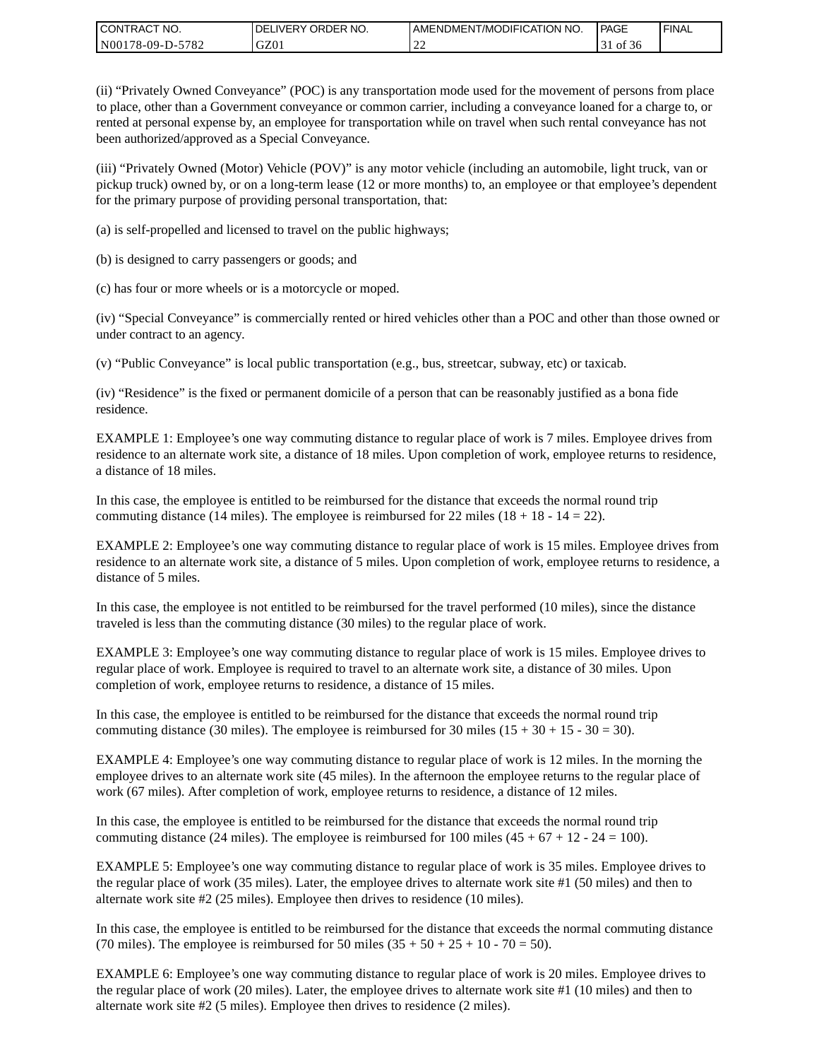| CONTRACT<br>CT NO.                       | NO.<br>' ORDER<br><b>DELIVERY</b> | AMENDMENT/MODIFICATION NO. | l PAGE    | <b>FINAL</b> |
|------------------------------------------|-----------------------------------|----------------------------|-----------|--------------|
| $-5782$<br>N <sub>001</sub><br>78-09-D-J | GZ01                              | ∸                          | ОI<br>.30 |              |

(ii) "Privately Owned Conveyance" (POC) is any transportation mode used for the movement of persons from place to place, other than a Government conveyance or common carrier, including a conveyance loaned for a charge to, or rented at personal expense by, an employee for transportation while on travel when such rental conveyance has not been authorized/approved as a Special Conveyance.

(iii) "Privately Owned (Motor) Vehicle (POV)" is any motor vehicle (including an automobile, light truck, van or pickup truck) owned by, or on a long-term lease (12 or more months) to, an employee or that employee's dependent for the primary purpose of providing personal transportation, that:

(a) is self-propelled and licensed to travel on the public highways;

(b) is designed to carry passengers or goods; and

(c) has four or more wheels or is a motorcycle or moped.

(iv) "Special Conveyance" is commercially rented or hired vehicles other than a POC and other than those owned or under contract to an agency.

(v) "Public Conveyance" is local public transportation (e.g., bus, streetcar, subway, etc) or taxicab.

(iv) "Residence" is the fixed or permanent domicile of a person that can be reasonably justified as a bona fide residence.

EXAMPLE 1: Employee's one way commuting distance to regular place of work is 7 miles. Employee drives from residence to an alternate work site, a distance of 18 miles. Upon completion of work, employee returns to residence, a distance of 18 miles.

In this case, the employee is entitled to be reimbursed for the distance that exceeds the normal round trip commuting distance (14 miles). The employee is reimbursed for 22 miles (18 + 18 - 14 = 22).

EXAMPLE 2: Employee's one way commuting distance to regular place of work is 15 miles. Employee drives from residence to an alternate work site, a distance of 5 miles. Upon completion of work, employee returns to residence, a distance of 5 miles.

In this case, the employee is not entitled to be reimbursed for the travel performed (10 miles), since the distance traveled is less than the commuting distance (30 miles) to the regular place of work.

EXAMPLE 3: Employee's one way commuting distance to regular place of work is 15 miles. Employee drives to regular place of work. Employee is required to travel to an alternate work site, a distance of 30 miles. Upon completion of work, employee returns to residence, a distance of 15 miles.

In this case, the employee is entitled to be reimbursed for the distance that exceeds the normal round trip commuting distance (30 miles). The employee is reimbursed for 30 miles  $(15 + 30 + 15 - 30 = 30)$ .

EXAMPLE 4: Employee's one way commuting distance to regular place of work is 12 miles. In the morning the employee drives to an alternate work site (45 miles). In the afternoon the employee returns to the regular place of work (67 miles). After completion of work, employee returns to residence, a distance of 12 miles.

In this case, the employee is entitled to be reimbursed for the distance that exceeds the normal round trip commuting distance (24 miles). The employee is reimbursed for 100 miles  $(45 + 67 + 12 - 24 = 100)$ .

EXAMPLE 5: Employee's one way commuting distance to regular place of work is 35 miles. Employee drives to the regular place of work (35 miles). Later, the employee drives to alternate work site #1 (50 miles) and then to alternate work site #2 (25 miles). Employee then drives to residence (10 miles).

In this case, the employee is entitled to be reimbursed for the distance that exceeds the normal commuting distance (70 miles). The employee is reimbursed for 50 miles  $(35 + 50 + 25 + 10 - 70 = 50)$ .

EXAMPLE 6: Employee's one way commuting distance to regular place of work is 20 miles. Employee drives to the regular place of work (20 miles). Later, the employee drives to alternate work site #1 (10 miles) and then to alternate work site #2 (5 miles). Employee then drives to residence (2 miles).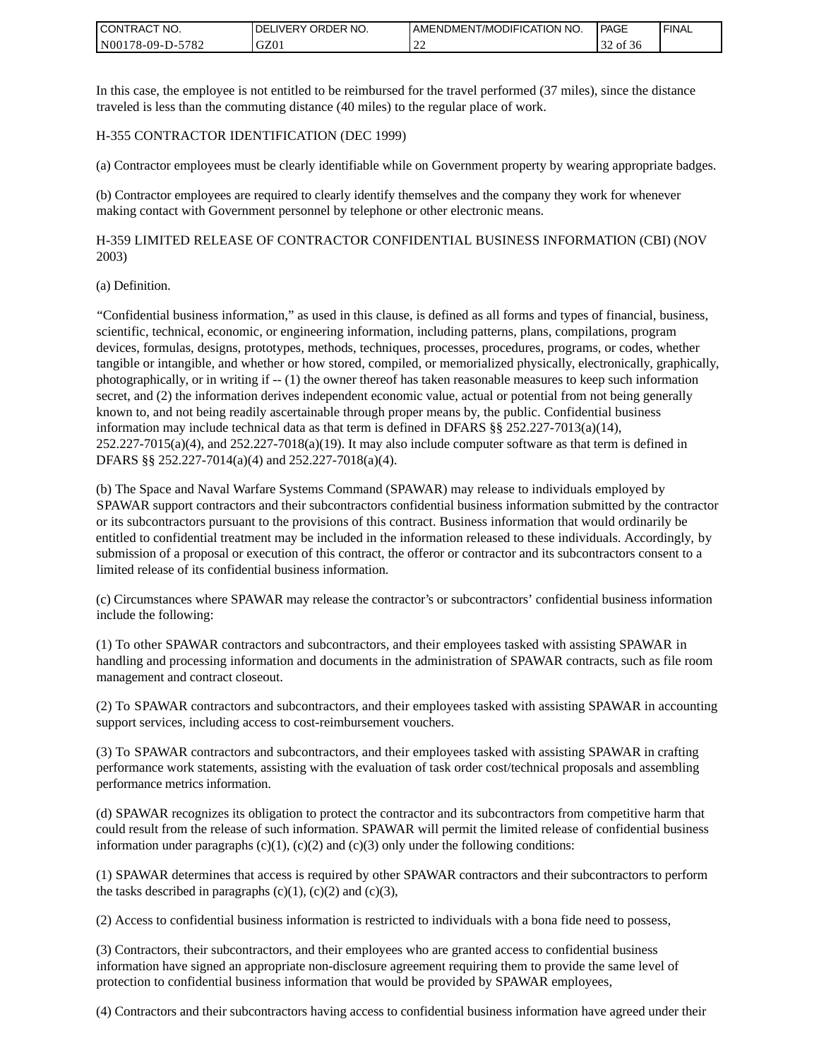| <b>I CONTRACT NO.</b>          | NO.<br>DELIVERY ORDER | AMENDMENT/MODIFICATION NO. | PAGE   | <b>I FINAL</b> |
|--------------------------------|-----------------------|----------------------------|--------|----------------|
| 5782<br>N001<br>78-09-L<br>D-' | GZ01                  | ∸                          | -of 36 |                |

In this case, the employee is not entitled to be reimbursed for the travel performed (37 miles), since the distance traveled is less than the commuting distance (40 miles) to the regular place of work.

### H-355 CONTRACTOR IDENTIFICATION (DEC 1999)

(a) Contractor employees must be clearly identifiable while on Government property by wearing appropriate badges.

(b) Contractor employees are required to clearly identify themselves and the company they work for whenever making contact with Government personnel by telephone or other electronic means.

H-359 LIMITED RELEASE OF CONTRACTOR CONFIDENTIAL BUSINESS INFORMATION (CBI) (NOV 2003)

#### (a) Definition.

"Confidential business information," as used in this clause, is defined as all forms and types of financial, business, scientific, technical, economic, or engineering information, including patterns, plans, compilations, program devices, formulas, designs, prototypes, methods, techniques, processes, procedures, programs, or codes, whether tangible or intangible, and whether or how stored, compiled, or memorialized physically, electronically, graphically, photographically, or in writing if -- (1) the owner thereof has taken reasonable measures to keep such information secret, and (2) the information derives independent economic value, actual or potential from not being generally known to, and not being readily ascertainable through proper means by, the public. Confidential business information may include technical data as that term is defined in DFARS  $\S$ § 252.227-7013(a)(14),  $252.227-7015(a)(4)$ , and  $252.227-7018(a)(19)$ . It may also include computer software as that term is defined in DFARS §§ 252.227-7014(a)(4) and 252.227-7018(a)(4).

(b) The Space and Naval Warfare Systems Command (SPAWAR) may release to individuals employed by SPAWAR support contractors and their subcontractors confidential business information submitted by the contractor or its subcontractors pursuant to the provisions of this contract. Business information that would ordinarily be entitled to confidential treatment may be included in the information released to these individuals. Accordingly, by submission of a proposal or execution of this contract, the offeror or contractor and its subcontractors consent to a limited release of its confidential business information.

(c) Circumstances where SPAWAR may release the contractor's or subcontractors' confidential business information include the following:

(1) To other SPAWAR contractors and subcontractors, and their employees tasked with assisting SPAWAR in handling and processing information and documents in the administration of SPAWAR contracts, such as file room management and contract closeout.

(2) To SPAWAR contractors and subcontractors, and their employees tasked with assisting SPAWAR in accounting support services, including access to cost-reimbursement vouchers.

(3) To SPAWAR contractors and subcontractors, and their employees tasked with assisting SPAWAR in crafting performance work statements, assisting with the evaluation of task order cost/technical proposals and assembling performance metrics information.

(d) SPAWAR recognizes its obligation to protect the contractor and its subcontractors from competitive harm that could result from the release of such information. SPAWAR will permit the limited release of confidential business information under paragraphs  $(c)(1)$ ,  $(c)(2)$  and  $(c)(3)$  only under the following conditions:

(1) SPAWAR determines that access is required by other SPAWAR contractors and their subcontractors to perform the tasks described in paragraphs  $(c)(1)$ ,  $(c)(2)$  and  $(c)(3)$ ,

(2) Access to confidential business information is restricted to individuals with a bona fide need to possess,

(3) Contractors, their subcontractors, and their employees who are granted access to confidential business information have signed an appropriate non-disclosure agreement requiring them to provide the same level of protection to confidential business information that would be provided by SPAWAR employees,

(4) Contractors and their subcontractors having access to confidential business information have agreed under their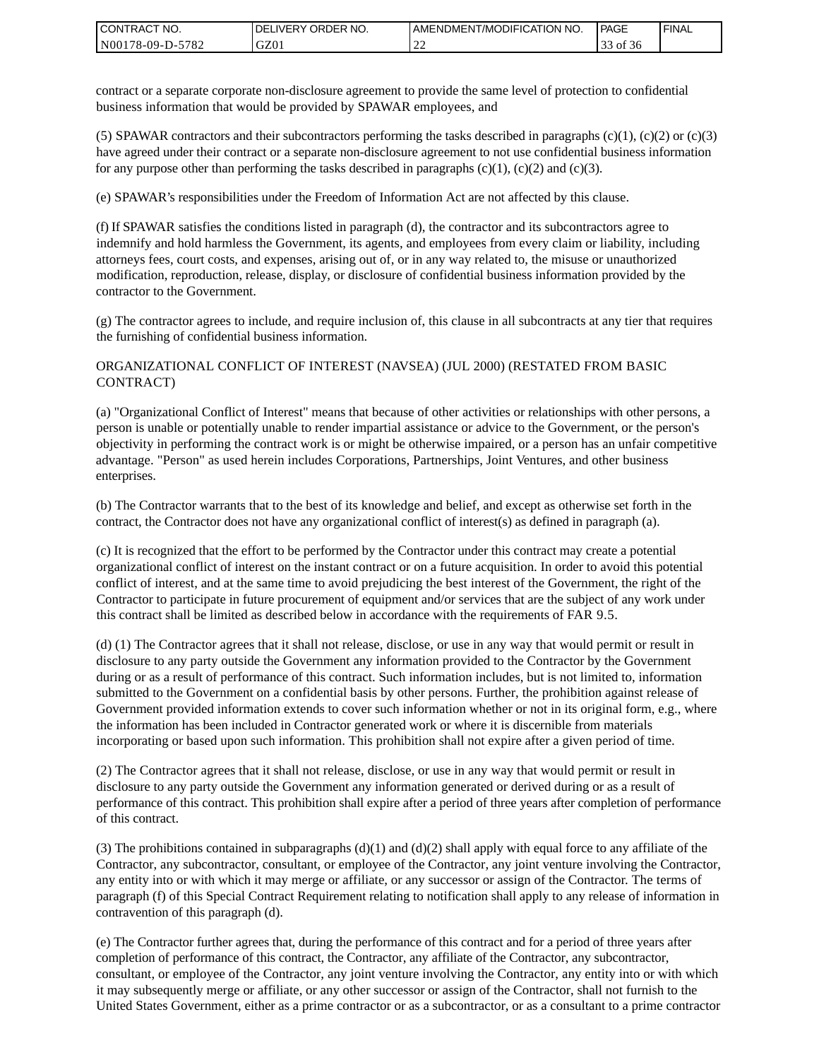| I CONTRACT NO.   | DELIVERY ORDER NO. | AMENDMENT/MODIFICATION NO. | PAGE  | ' FINAL |
|------------------|--------------------|----------------------------|-------|---------|
| N00178-09-D-5782 | GZ01               | ∸∸                         | of 36 |         |

contract or a separate corporate non-disclosure agreement to provide the same level of protection to confidential business information that would be provided by SPAWAR employees, and

(5) SPAWAR contractors and their subcontractors performing the tasks described in paragraphs  $(c)(1)$ ,  $(c)(2)$  or  $(c)(3)$ have agreed under their contract or a separate non-disclosure agreement to not use confidential business information for any purpose other than performing the tasks described in paragraphs  $(c)(1)$ ,  $(c)(2)$  and  $(c)(3)$ .

(e) SPAWAR's responsibilities under the Freedom of Information Act are not affected by this clause.

(f) If SPAWAR satisfies the conditions listed in paragraph (d), the contractor and its subcontractors agree to indemnify and hold harmless the Government, its agents, and employees from every claim or liability, including attorneys fees, court costs, and expenses, arising out of, or in any way related to, the misuse or unauthorized modification, reproduction, release, display, or disclosure of confidential business information provided by the contractor to the Government.

(g) The contractor agrees to include, and require inclusion of, this clause in all subcontracts at any tier that requires the furnishing of confidential business information.

### ORGANIZATIONAL CONFLICT OF INTEREST (NAVSEA) (JUL 2000) (RESTATED FROM BASIC CONTRACT)

(a) "Organizational Conflict of Interest" means that because of other activities or relationships with other persons, a person is unable or potentially unable to render impartial assistance or advice to the Government, or the person's objectivity in performing the contract work is or might be otherwise impaired, or a person has an unfair competitive advantage. "Person" as used herein includes Corporations, Partnerships, Joint Ventures, and other business enterprises.

(b) The Contractor warrants that to the best of its knowledge and belief, and except as otherwise set forth in the contract, the Contractor does not have any organizational conflict of interest(s) as defined in paragraph (a).

(c) It is recognized that the effort to be performed by the Contractor under this contract may create a potential organizational conflict of interest on the instant contract or on a future acquisition. In order to avoid this potential conflict of interest, and at the same time to avoid prejudicing the best interest of the Government, the right of the Contractor to participate in future procurement of equipment and/or services that are the subject of any work under this contract shall be limited as described below in accordance with the requirements of FAR 9.5.

(d) (1) The Contractor agrees that it shall not release, disclose, or use in any way that would permit or result in disclosure to any party outside the Government any information provided to the Contractor by the Government during or as a result of performance of this contract. Such information includes, but is not limited to, information submitted to the Government on a confidential basis by other persons. Further, the prohibition against release of Government provided information extends to cover such information whether or not in its original form, e.g., where the information has been included in Contractor generated work or where it is discernible from materials incorporating or based upon such information. This prohibition shall not expire after a given period of time.

(2) The Contractor agrees that it shall not release, disclose, or use in any way that would permit or result in disclosure to any party outside the Government any information generated or derived during or as a result of performance of this contract. This prohibition shall expire after a period of three years after completion of performance of this contract.

(3) The prohibitions contained in subparagraphs  $(d)(1)$  and  $(d)(2)$  shall apply with equal force to any affiliate of the Contractor, any subcontractor, consultant, or employee of the Contractor, any joint venture involving the Contractor, any entity into or with which it may merge or affiliate, or any successor or assign of the Contractor. The terms of paragraph (f) of this Special Contract Requirement relating to notification shall apply to any release of information in contravention of this paragraph (d).

(e) The Contractor further agrees that, during the performance of this contract and for a period of three years after completion of performance of this contract, the Contractor, any affiliate of the Contractor, any subcontractor, consultant, or employee of the Contractor, any joint venture involving the Contractor, any entity into or with which it may subsequently merge or affiliate, or any other successor or assign of the Contractor, shall not furnish to the United States Government, either as a prime contractor or as a subcontractor, or as a consultant to a prime contractor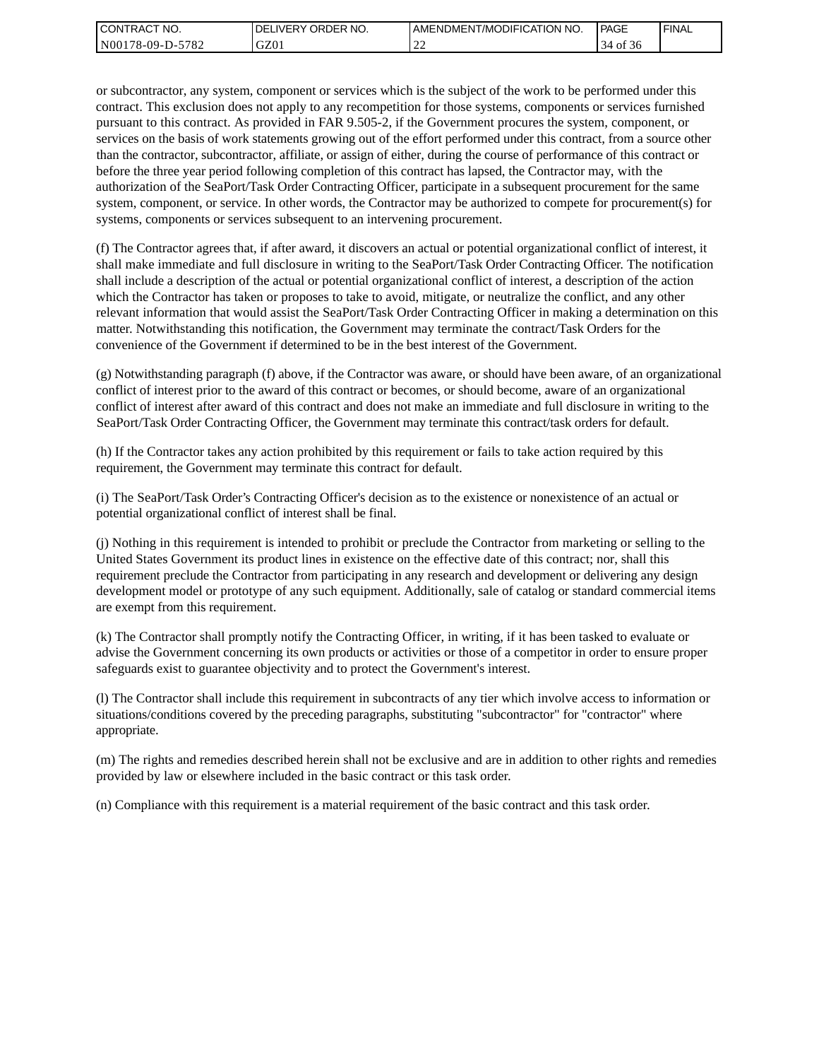| I CONTRACT NO.   | <b>IDELIVERY ORDER NO.</b> | AMENDMENT/MODIFICATION NO. | PAGE      | ' FINAL |
|------------------|----------------------------|----------------------------|-----------|---------|
| N00178-09-D-5782 | GZ01                       | ∸∸                         | 0Ť<br>-36 |         |

or subcontractor, any system, component or services which is the subject of the work to be performed under this contract. This exclusion does not apply to any recompetition for those systems, components or services furnished pursuant to this contract. As provided in FAR 9.505-2, if the Government procures the system, component, or services on the basis of work statements growing out of the effort performed under this contract, from a source other than the contractor, subcontractor, affiliate, or assign of either, during the course of performance of this contract or before the three year period following completion of this contract has lapsed, the Contractor may, with the authorization of the SeaPort/Task Order Contracting Officer, participate in a subsequent procurement for the same system, component, or service. In other words, the Contractor may be authorized to compete for procurement(s) for systems, components or services subsequent to an intervening procurement.

(f) The Contractor agrees that, if after award, it discovers an actual or potential organizational conflict of interest, it shall make immediate and full disclosure in writing to the SeaPort/Task Order Contracting Officer. The notification shall include a description of the actual or potential organizational conflict of interest, a description of the action which the Contractor has taken or proposes to take to avoid, mitigate, or neutralize the conflict, and any other relevant information that would assist the SeaPort/Task Order Contracting Officer in making a determination on this matter. Notwithstanding this notification, the Government may terminate the contract/Task Orders for the convenience of the Government if determined to be in the best interest of the Government.

(g) Notwithstanding paragraph (f) above, if the Contractor was aware, or should have been aware, of an organizational conflict of interest prior to the award of this contract or becomes, or should become, aware of an organizational conflict of interest after award of this contract and does not make an immediate and full disclosure in writing to the SeaPort/Task Order Contracting Officer, the Government may terminate this contract/task orders for default.

(h) If the Contractor takes any action prohibited by this requirement or fails to take action required by this requirement, the Government may terminate this contract for default.

(i) The SeaPort/Task Order's Contracting Officer's decision as to the existence or nonexistence of an actual or potential organizational conflict of interest shall be final.

(j) Nothing in this requirement is intended to prohibit or preclude the Contractor from marketing or selling to the United States Government its product lines in existence on the effective date of this contract; nor, shall this requirement preclude the Contractor from participating in any research and development or delivering any design development model or prototype of any such equipment. Additionally, sale of catalog or standard commercial items are exempt from this requirement.

(k) The Contractor shall promptly notify the Contracting Officer, in writing, if it has been tasked to evaluate or advise the Government concerning its own products or activities or those of a competitor in order to ensure proper safeguards exist to guarantee objectivity and to protect the Government's interest.

(l) The Contractor shall include this requirement in subcontracts of any tier which involve access to information or situations/conditions covered by the preceding paragraphs, substituting "subcontractor" for "contractor" where appropriate.

(m) The rights and remedies described herein shall not be exclusive and are in addition to other rights and remedies provided by law or elsewhere included in the basic contract or this task order.

(n) Compliance with this requirement is a material requirement of the basic contract and this task order.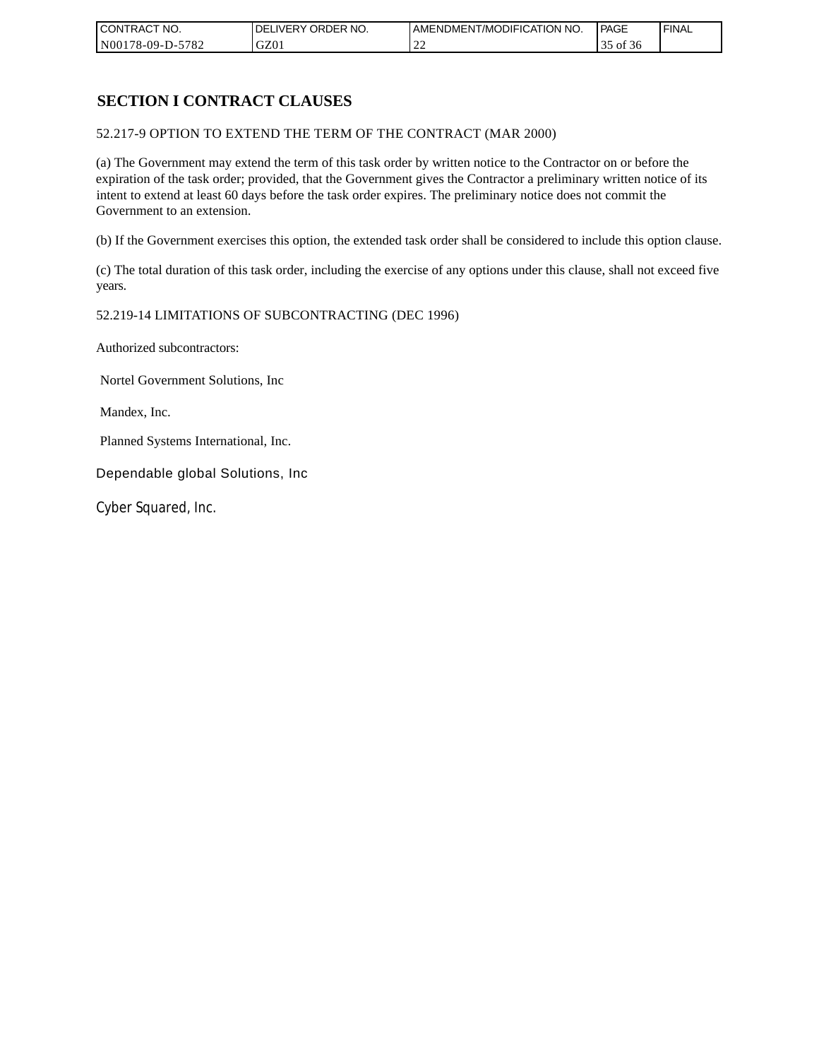| CONTRACT NO.     | `NO.<br>DELIVERY ORDER | AMENDMENT/MODIFICATION<br>' NO. | PAGE  | 'FINAL |
|------------------|------------------------|---------------------------------|-------|--------|
| N00178-09-D-5782 | GZ01                   | --                              | of 36 |        |

# **SECTION I CONTRACT CLAUSES**

52.217-9 OPTION TO EXTEND THE TERM OF THE CONTRACT (MAR 2000)

(a) The Government may extend the term of this task order by written notice to the Contractor on or before the expiration of the task order; provided, that the Government gives the Contractor a preliminary written notice of its intent to extend at least 60 days before the task order expires. The preliminary notice does not commit the Government to an extension.

(b) If the Government exercises this option, the extended task order shall be considered to include this option clause.

(c) The total duration of this task order, including the exercise of any options under this clause, shall not exceed five years.

#### 52.219-14 LIMITATIONS OF SUBCONTRACTING (DEC 1996)

Authorized subcontractors:

Nortel Government Solutions, Inc

Mandex, Inc.

Planned Systems International, Inc.

Dependable global Solutions, Inc

Cyber Squared, Inc.